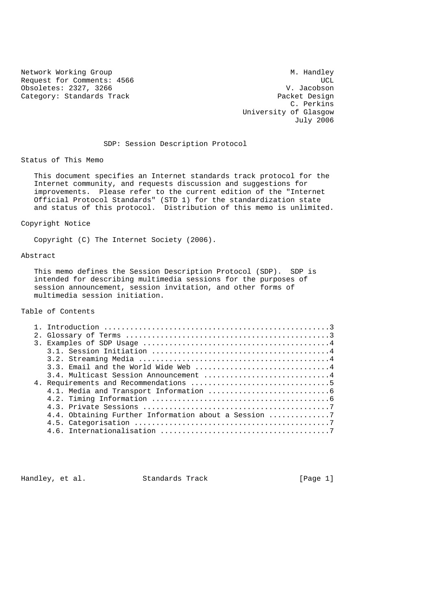Request for Comments: 4566 UCL<br>
Obsoletes: 2327, 3266 V. Jacobson Obsoletes: 2327, 3266 V. Jacobson Category: Standards Track

Network Working Group Methods and M. Handley C. Perkins University of Glasgow July 2006

#### SDP: Session Description Protocol

Status of This Memo

 This document specifies an Internet standards track protocol for the Internet community, and requests discussion and suggestions for improvements. Please refer to the current edition of the "Internet Official Protocol Standards" (STD 1) for the standardization state and status of this protocol. Distribution of this memo is unlimited.

#### Copyright Notice

Copyright (C) The Internet Society (2006).

#### Abstract

 This memo defines the Session Description Protocol (SDP). SDP is intended for describing multimedia sessions for the purposes of session announcement, session invitation, and other forms of multimedia session initiation.

# Table of Contents

|  | 4.4. Obtaining Further Information about a Session 7 |
|--|------------------------------------------------------|
|  |                                                      |
|  |                                                      |
|  |                                                      |

Handley, et al. Standards Track [Page 1]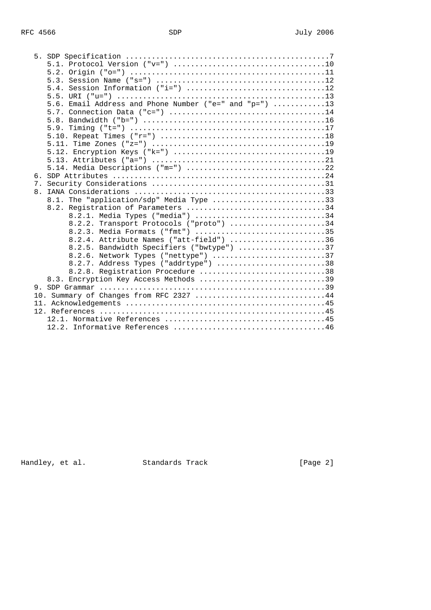|  | 5.4. Session Information ("i=") 12                                         |
|--|----------------------------------------------------------------------------|
|  |                                                                            |
|  | 5.6. Email Address and Phone Number ("e=" and "p=") 13                     |
|  |                                                                            |
|  |                                                                            |
|  |                                                                            |
|  |                                                                            |
|  |                                                                            |
|  |                                                                            |
|  |                                                                            |
|  |                                                                            |
|  |                                                                            |
|  |                                                                            |
|  |                                                                            |
|  | 8.1. The "application/sdp" Media Type 33                                   |
|  | 8.2. Registration of Parameters 34<br>8.2.1. Media Types ("media") 34      |
|  |                                                                            |
|  | 8.2.2. Transport Protocols ("proto") 34                                    |
|  | 8.2.3. Media Formats ("fmt") 35<br>8.2.4. Attribute Names ("att-field") 36 |
|  | 8.2.5. Bandwidth Specifiers ("bwtype") 37                                  |
|  | 8.2.6. Network Types ("nettype") 37                                        |
|  | 8.2.7. Address Types ("addrtype") 38                                       |
|  | 8.2.8. Registration Procedure 38                                           |
|  | 8.3. Encryption Key Access Methods 39                                      |
|  |                                                                            |
|  | 10. Summary of Changes from RFC 2327 44                                    |
|  |                                                                            |
|  |                                                                            |
|  |                                                                            |
|  |                                                                            |
|  |                                                                            |

Handley, et al. Standards Track [Page 2]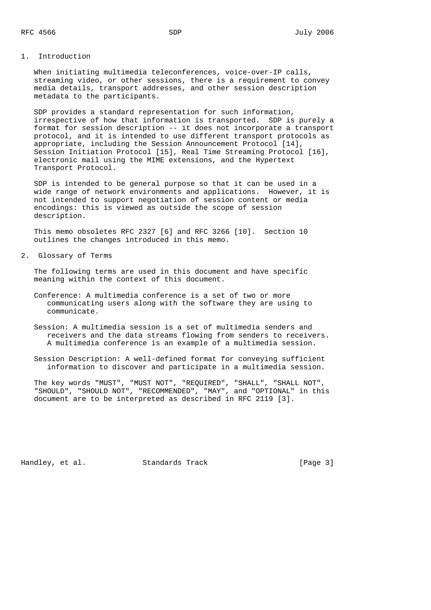#### 1. Introduction

When initiating multimedia teleconferences, voice-over-IP calls, streaming video, or other sessions, there is a requirement to convey media details, transport addresses, and other session description metadata to the participants.

 SDP provides a standard representation for such information, irrespective of how that information is transported. SDP is purely a format for session description -- it does not incorporate a transport protocol, and it is intended to use different transport protocols as appropriate, including the Session Announcement Protocol [14], Session Initiation Protocol [15], Real Time Streaming Protocol [16], electronic mail using the MIME extensions, and the Hypertext Transport Protocol.

 SDP is intended to be general purpose so that it can be used in a wide range of network environments and applications. However, it is not intended to support negotiation of session content or media encodings: this is viewed as outside the scope of session description.

 This memo obsoletes RFC 2327 [6] and RFC 3266 [10]. Section 10 outlines the changes introduced in this memo.

2. Glossary of Terms

 The following terms are used in this document and have specific meaning within the context of this document.

- Conference: A multimedia conference is a set of two or more communicating users along with the software they are using to communicate.
- Session: A multimedia session is a set of multimedia senders and receivers and the data streams flowing from senders to receivers. A multimedia conference is an example of a multimedia session.
- Session Description: A well-defined format for conveying sufficient information to discover and participate in a multimedia session.

 The key words "MUST", "MUST NOT", "REQUIRED", "SHALL", "SHALL NOT", "SHOULD", "SHOULD NOT", "RECOMMENDED", "MAY", and "OPTIONAL" in this document are to be interpreted as described in RFC 2119 [3].

Handley, et al. Standards Track [Page 3]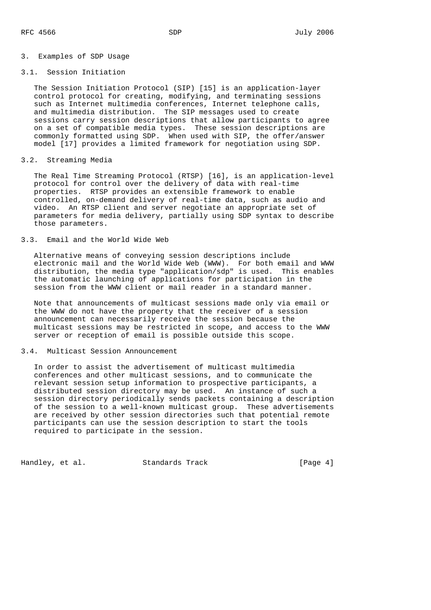# 3. Examples of SDP Usage

# 3.1. Session Initiation

 The Session Initiation Protocol (SIP) [15] is an application-layer control protocol for creating, modifying, and terminating sessions such as Internet multimedia conferences, Internet telephone calls, and multimedia distribution. The SIP messages used to create sessions carry session descriptions that allow participants to agree on a set of compatible media types. These session descriptions are commonly formatted using SDP. When used with SIP, the offer/answer model [17] provides a limited framework for negotiation using SDP.

#### 3.2. Streaming Media

 The Real Time Streaming Protocol (RTSP) [16], is an application-level protocol for control over the delivery of data with real-time properties. RTSP provides an extensible framework to enable controlled, on-demand delivery of real-time data, such as audio and video. An RTSP client and server negotiate an appropriate set of parameters for media delivery, partially using SDP syntax to describe those parameters.

## 3.3. Email and the World Wide Web

 Alternative means of conveying session descriptions include electronic mail and the World Wide Web (WWW). For both email and WWW distribution, the media type "application/sdp" is used. This enables the automatic launching of applications for participation in the session from the WWW client or mail reader in a standard manner.

 Note that announcements of multicast sessions made only via email or the WWW do not have the property that the receiver of a session announcement can necessarily receive the session because the multicast sessions may be restricted in scope, and access to the WWW server or reception of email is possible outside this scope.

# 3.4. Multicast Session Announcement

 In order to assist the advertisement of multicast multimedia conferences and other multicast sessions, and to communicate the relevant session setup information to prospective participants, a distributed session directory may be used. An instance of such a session directory periodically sends packets containing a description of the session to a well-known multicast group. These advertisements are received by other session directories such that potential remote participants can use the session description to start the tools required to participate in the session.

Handley, et al. Standards Track [Page 4]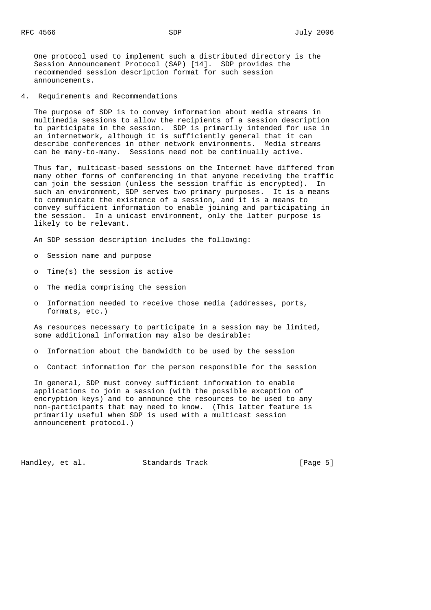One protocol used to implement such a distributed directory is the Session Announcement Protocol (SAP) [14]. SDP provides the recommended session description format for such session announcements.

4. Requirements and Recommendations

 The purpose of SDP is to convey information about media streams in multimedia sessions to allow the recipients of a session description to participate in the session. SDP is primarily intended for use in an internetwork, although it is sufficiently general that it can describe conferences in other network environments. Media streams can be many-to-many. Sessions need not be continually active.

 Thus far, multicast-based sessions on the Internet have differed from many other forms of conferencing in that anyone receiving the traffic can join the session (unless the session traffic is encrypted). In such an environment, SDP serves two primary purposes. It is a means to communicate the existence of a session, and it is a means to convey sufficient information to enable joining and participating in the session. In a unicast environment, only the latter purpose is likely to be relevant.

An SDP session description includes the following:

- o Session name and purpose
- o Time(s) the session is active
- o The media comprising the session
- o Information needed to receive those media (addresses, ports, formats, etc.)

 As resources necessary to participate in a session may be limited, some additional information may also be desirable:

- o Information about the bandwidth to be used by the session
- o Contact information for the person responsible for the session

 In general, SDP must convey sufficient information to enable applications to join a session (with the possible exception of encryption keys) and to announce the resources to be used to any non-participants that may need to know. (This latter feature is primarily useful when SDP is used with a multicast session announcement protocol.)

Handley, et al. Standards Track [Page 5]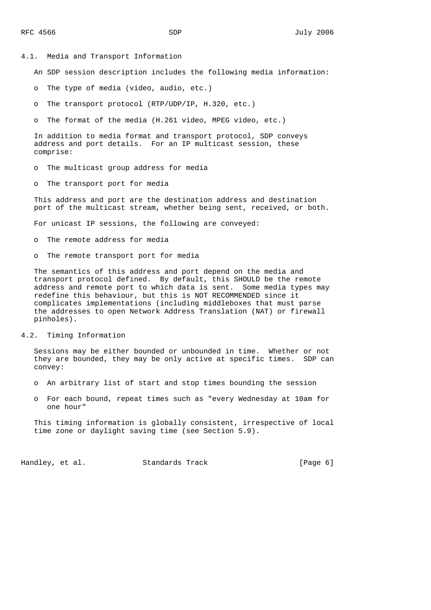4.1. Media and Transport Information

An SDP session description includes the following media information:

- o The type of media (video, audio, etc.)
- o The transport protocol (RTP/UDP/IP, H.320, etc.)
- o The format of the media (H.261 video, MPEG video, etc.)

 In addition to media format and transport protocol, SDP conveys address and port details. For an IP multicast session, these comprise:

- o The multicast group address for media
- o The transport port for media

 This address and port are the destination address and destination port of the multicast stream, whether being sent, received, or both.

For unicast IP sessions, the following are conveyed:

o The remote address for media

o The remote transport port for media

 The semantics of this address and port depend on the media and transport protocol defined. By default, this SHOULD be the remote address and remote port to which data is sent. Some media types may redefine this behaviour, but this is NOT RECOMMENDED since it complicates implementations (including middleboxes that must parse the addresses to open Network Address Translation (NAT) or firewall pinholes).

4.2. Timing Information

 Sessions may be either bounded or unbounded in time. Whether or not they are bounded, they may be only active at specific times. SDP can convey:

- o An arbitrary list of start and stop times bounding the session
- o For each bound, repeat times such as "every Wednesday at 10am for one hour"

 This timing information is globally consistent, irrespective of local time zone or daylight saving time (see Section 5.9).

Handley, et al. Standards Track [Page 6]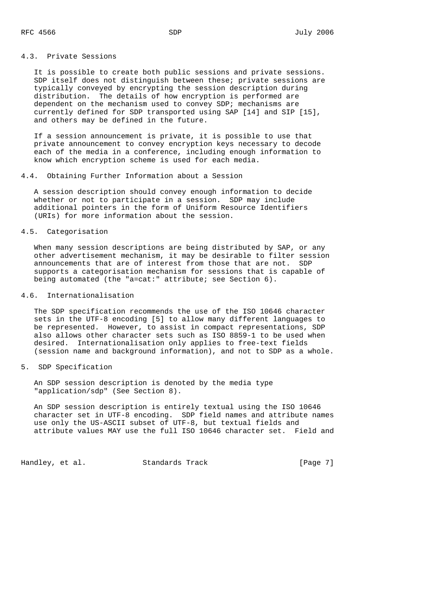# 4.3. Private Sessions

 It is possible to create both public sessions and private sessions. SDP itself does not distinguish between these; private sessions are typically conveyed by encrypting the session description during distribution. The details of how encryption is performed are dependent on the mechanism used to convey SDP; mechanisms are currently defined for SDP transported using SAP [14] and SIP [15], and others may be defined in the future.

 If a session announcement is private, it is possible to use that private announcement to convey encryption keys necessary to decode each of the media in a conference, including enough information to know which encryption scheme is used for each media.

## 4.4. Obtaining Further Information about a Session

 A session description should convey enough information to decide whether or not to participate in a session. SDP may include additional pointers in the form of Uniform Resource Identifiers (URIs) for more information about the session.

## 4.5. Categorisation

 When many session descriptions are being distributed by SAP, or any other advertisement mechanism, it may be desirable to filter session announcements that are of interest from those that are not. SDP supports a categorisation mechanism for sessions that is capable of being automated (the "a=cat:" attribute; see Section 6).

## 4.6. Internationalisation

 The SDP specification recommends the use of the ISO 10646 character sets in the UTF-8 encoding [5] to allow many different languages to be represented. However, to assist in compact representations, SDP also allows other character sets such as ISO 8859-1 to be used when desired. Internationalisation only applies to free-text fields (session name and background information), and not to SDP as a whole.

5. SDP Specification

 An SDP session description is denoted by the media type "application/sdp" (See Section 8).

 An SDP session description is entirely textual using the ISO 10646 character set in UTF-8 encoding. SDP field names and attribute names use only the US-ASCII subset of UTF-8, but textual fields and attribute values MAY use the full ISO 10646 character set. Field and

Handley, et al. Standards Track [Page 7]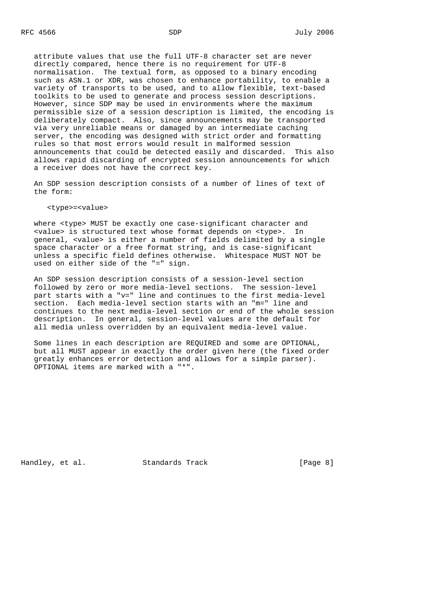attribute values that use the full UTF-8 character set are never directly compared, hence there is no requirement for UTF-8 normalisation. The textual form, as opposed to a binary encoding such as ASN.1 or XDR, was chosen to enhance portability, to enable a variety of transports to be used, and to allow flexible, text-based toolkits to be used to generate and process session descriptions. However, since SDP may be used in environments where the maximum permissible size of a session description is limited, the encoding is deliberately compact. Also, since announcements may be transported via very unreliable means or damaged by an intermediate caching server, the encoding was designed with strict order and formatting rules so that most errors would result in malformed session announcements that could be detected easily and discarded. This also allows rapid discarding of encrypted session announcements for which a receiver does not have the correct key.

 An SDP session description consists of a number of lines of text of the form:

<type>=<value>

 where <type> MUST be exactly one case-significant character and <value> is structured text whose format depends on <type>. In general, <value> is either a number of fields delimited by a single space character or a free format string, and is case-significant unless a specific field defines otherwise. Whitespace MUST NOT be used on either side of the "=" sign.

 An SDP session description consists of a session-level section followed by zero or more media-level sections. The session-level part starts with a "v=" line and continues to the first media-level section. Each media-level section starts with an "m=" line and continues to the next media-level section or end of the whole session description. In general, session-level values are the default for all media unless overridden by an equivalent media-level value.

 Some lines in each description are REQUIRED and some are OPTIONAL, but all MUST appear in exactly the order given here (the fixed order greatly enhances error detection and allows for a simple parser). OPTIONAL items are marked with a "\*".

Handley, et al. Standards Track [Page 8]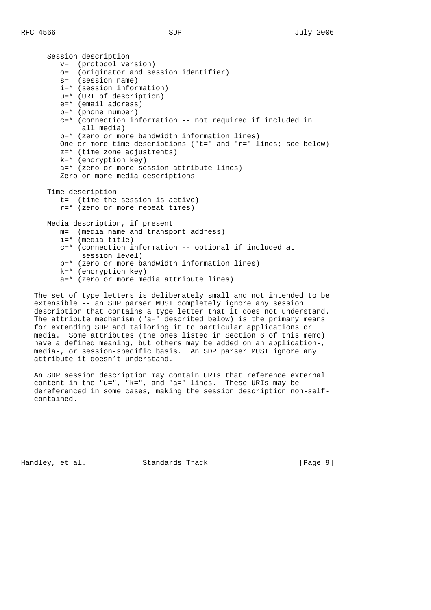Session description v= (protocol version) o= (originator and session identifier) s= (session name) i=\* (session information) u=\* (URI of description) e=\* (email address) p=\* (phone number) c=\* (connection information -- not required if included in all media) b=\* (zero or more bandwidth information lines) One or more time descriptions ("t=" and "r=" lines; see below) z=\* (time zone adjustments) k=\* (encryption key) a=\* (zero or more session attribute lines) Zero or more media descriptions Time description t= (time the session is active) r=\* (zero or more repeat times) Media description, if present m= (media name and transport address) i=\* (media title) c=\* (connection information -- optional if included at session level) b=\* (zero or more bandwidth information lines) k=\* (encryption key) a=\* (zero or more media attribute lines)

 The set of type letters is deliberately small and not intended to be extensible -- an SDP parser MUST completely ignore any session description that contains a type letter that it does not understand. The attribute mechanism ("a=" described below) is the primary means for extending SDP and tailoring it to particular applications or media. Some attributes (the ones listed in Section 6 of this memo) have a defined meaning, but others may be added on an application-, media-, or session-specific basis. An SDP parser MUST ignore any attribute it doesn't understand.

 An SDP session description may contain URIs that reference external content in the "u=", "k=", and "a=" lines. These URIs may be dereferenced in some cases, making the session description non-self contained.

Handley, et al. Standards Track [Page 9]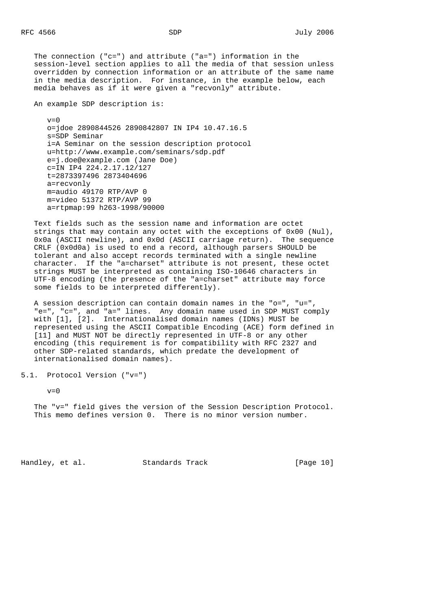The connection ("c=") and attribute ("a=") information in the session-level section applies to all the media of that session unless overridden by connection information or an attribute of the same name in the media description. For instance, in the example below, each media behaves as if it were given a "recvonly" attribute.

An example SDP description is:

 $v=0$  o=jdoe 2890844526 2890842807 IN IP4 10.47.16.5 s=SDP Seminar i=A Seminar on the session description protocol u=http://www.example.com/seminars/sdp.pdf e=j.doe@example.com (Jane Doe) c=IN IP4 224.2.17.12/127 t=2873397496 2873404696 a=recvonly m=audio 49170 RTP/AVP 0 m=video 51372 RTP/AVP 99 a=rtpmap:99 h263-1998/90000

 Text fields such as the session name and information are octet strings that may contain any octet with the exceptions of 0x00 (Nul), 0x0a (ASCII newline), and 0x0d (ASCII carriage return). The sequence CRLF (0x0d0a) is used to end a record, although parsers SHOULD be tolerant and also accept records terminated with a single newline character. If the "a=charset" attribute is not present, these octet strings MUST be interpreted as containing ISO-10646 characters in UTF-8 encoding (the presence of the "a=charset" attribute may force some fields to be interpreted differently).

 A session description can contain domain names in the "o=", "u=", "e=", "c=", and "a=" lines. Any domain name used in SDP MUST comply with [1], [2]. Internationalised domain names (IDNs) MUST be represented using the ASCII Compatible Encoding (ACE) form defined in [11] and MUST NOT be directly represented in UTF-8 or any other encoding (this requirement is for compatibility with RFC 2327 and other SDP-related standards, which predate the development of internationalised domain names).

```
5.1. Protocol Version ("v=")
```
 $v=0$ 

 The "v=" field gives the version of the Session Description Protocol. This memo defines version 0. There is no minor version number.

Handley, et al. Standards Track [Page 10]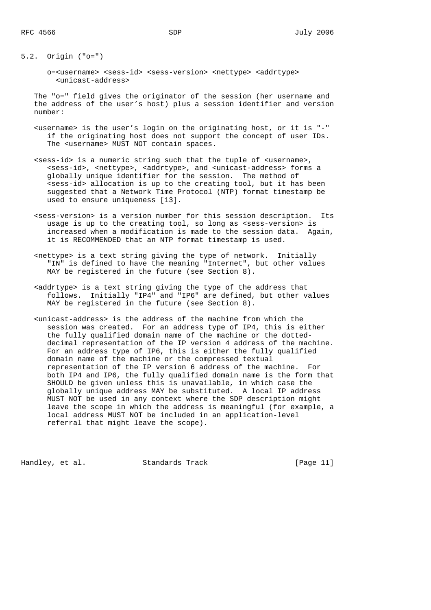5.2. Origin ("o=")

o=<username> <sess-id> <sess-version> <nettype> <addrtype> <unicast-address>

 The "o=" field gives the originator of the session (her username and the address of the user's host) plus a session identifier and version number:

- <username> is the user's login on the originating host, or it is "-" if the originating host does not support the concept of user IDs. The <username> MUST NOT contain spaces.
- <sess-id> is a numeric string such that the tuple of <username>, <sess-id>, <nettype>, <addrtype>, and <unicast-address> forms a globally unique identifier for the session. The method of <sess-id> allocation is up to the creating tool, but it has been suggested that a Network Time Protocol (NTP) format timestamp be used to ensure uniqueness [13].
- <sess-version> is a version number for this session description. Its usage is up to the creating tool, so long as <sess-version> is increased when a modification is made to the session data. Again, it is RECOMMENDED that an NTP format timestamp is used.
- <nettype> is a text string giving the type of network. Initially "IN" is defined to have the meaning "Internet", but other values MAY be registered in the future (see Section 8).
- <addrtype> is a text string giving the type of the address that follows. Initially "IP4" and "IP6" are defined, but other values MAY be registered in the future (see Section 8).
- <unicast-address> is the address of the machine from which the session was created. For an address type of IP4, this is either the fully qualified domain name of the machine or the dotted decimal representation of the IP version 4 address of the machine. For an address type of IP6, this is either the fully qualified domain name of the machine or the compressed textual representation of the IP version 6 address of the machine. For both IP4 and IP6, the fully qualified domain name is the form that SHOULD be given unless this is unavailable, in which case the globally unique address MAY be substituted. A local IP address MUST NOT be used in any context where the SDP description might leave the scope in which the address is meaningful (for example, a local address MUST NOT be included in an application-level referral that might leave the scope).

Handley, et al. Standards Track [Page 11]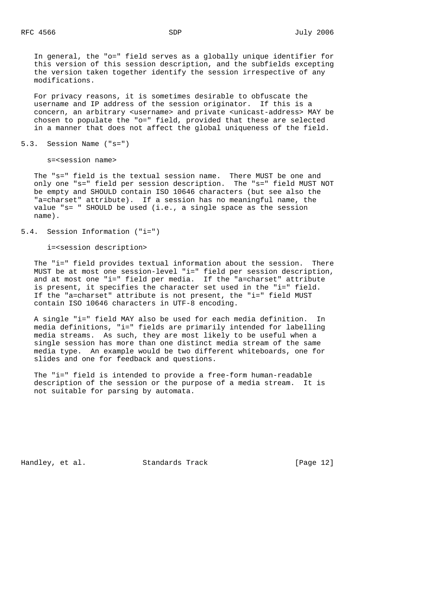In general, the "o=" field serves as a globally unique identifier for this version of this session description, and the subfields excepting the version taken together identify the session irrespective of any modifications.

 For privacy reasons, it is sometimes desirable to obfuscate the username and IP address of the session originator. If this is a concern, an arbitrary <username> and private <unicast-address> MAY be chosen to populate the "o=" field, provided that these are selected in a manner that does not affect the global uniqueness of the field.

```
5.3. Session Name ("s=")
```
s=<session name>

 The "s=" field is the textual session name. There MUST be one and only one "s=" field per session description. The "s=" field MUST NOT be empty and SHOULD contain ISO 10646 characters (but see also the "a=charset" attribute). If a session has no meaningful name, the value "s= " SHOULD be used (i.e., a single space as the session name).

5.4. Session Information ("i=")

i=<session description>

 The "i=" field provides textual information about the session. There MUST be at most one session-level "i=" field per session description, and at most one "i=" field per media. If the "a=charset" attribute is present, it specifies the character set used in the "i=" field. If the "a=charset" attribute is not present, the "i=" field MUST contain ISO 10646 characters in UTF-8 encoding.

 A single "i=" field MAY also be used for each media definition. In media definitions, "i=" fields are primarily intended for labelling media streams. As such, they are most likely to be useful when a single session has more than one distinct media stream of the same media type. An example would be two different whiteboards, one for slides and one for feedback and questions.

 The "i=" field is intended to provide a free-form human-readable description of the session or the purpose of a media stream. It is not suitable for parsing by automata.

Handley, et al. Standards Track [Page 12]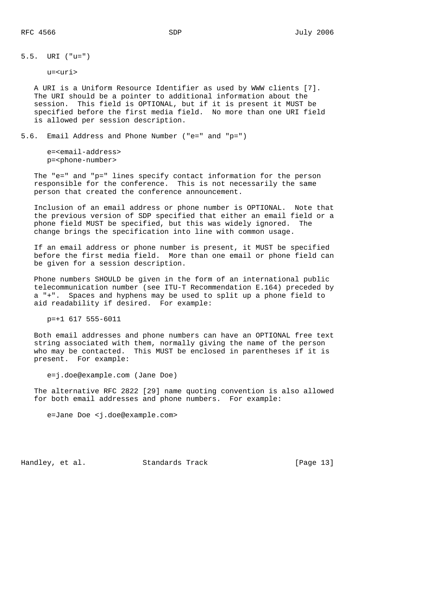5.5. URI ("u=")

u=<uri>

 A URI is a Uniform Resource Identifier as used by WWW clients [7]. The URI should be a pointer to additional information about the session. This field is OPTIONAL, but if it is present it MUST be specified before the first media field. No more than one URI field is allowed per session description.

5.6. Email Address and Phone Number ("e=" and "p=")

 e=<email-address> p=<phone-number>

 The "e=" and "p=" lines specify contact information for the person responsible for the conference. This is not necessarily the same person that created the conference announcement.

 Inclusion of an email address or phone number is OPTIONAL. Note that the previous version of SDP specified that either an email field or a phone field MUST be specified, but this was widely ignored. The change brings the specification into line with common usage.

 If an email address or phone number is present, it MUST be specified before the first media field. More than one email or phone field can be given for a session description.

 Phone numbers SHOULD be given in the form of an international public telecommunication number (see ITU-T Recommendation E.164) preceded by a "+". Spaces and hyphens may be used to split up a phone field to aid readability if desired. For example:

p=+1 617 555-6011

 Both email addresses and phone numbers can have an OPTIONAL free text string associated with them, normally giving the name of the person who may be contacted. This MUST be enclosed in parentheses if it is present. For example:

e=j.doe@example.com (Jane Doe)

 The alternative RFC 2822 [29] name quoting convention is also allowed for both email addresses and phone numbers. For example:

e=Jane Doe <j.doe@example.com>

Handley, et al. Standards Track [Page 13]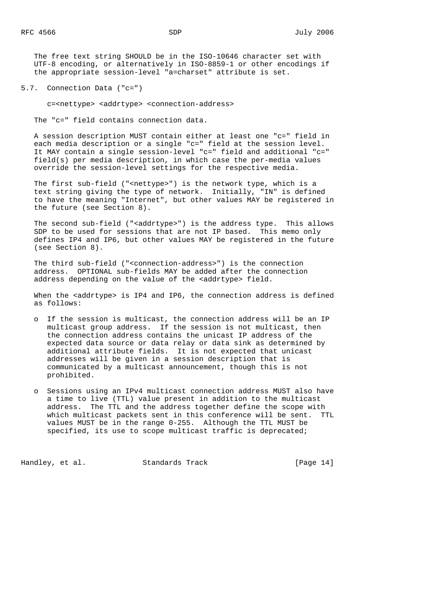The free text string SHOULD be in the ISO-10646 character set with UTF-8 encoding, or alternatively in ISO-8859-1 or other encodings if the appropriate session-level "a=charset" attribute is set.

5.7. Connection Data ("c=")

c=<nettype> <addrtype> <connection-address>

The "c=" field contains connection data.

 A session description MUST contain either at least one "c=" field in each media description or a single "c=" field at the session level. It MAY contain a single session-level "c=" field and additional "c=" field(s) per media description, in which case the per-media values override the session-level settings for the respective media.

The first sub-field ("<nettype>") is the network type, which is a text string giving the type of network. Initially, "IN" is defined to have the meaning "Internet", but other values MAY be registered in the future (see Section 8).

The second sub-field ("<addrtype>") is the address type. This allows SDP to be used for sessions that are not IP based. This memo only defines IP4 and IP6, but other values MAY be registered in the future (see Section 8).

 The third sub-field ("<connection-address>") is the connection address. OPTIONAL sub-fields MAY be added after the connection address depending on the value of the <addrtype> field.

When the <addrtype> is IP4 and IP6, the connection address is defined as follows:

- o If the session is multicast, the connection address will be an IP multicast group address. If the session is not multicast, then the connection address contains the unicast IP address of the expected data source or data relay or data sink as determined by additional attribute fields. It is not expected that unicast addresses will be given in a session description that is communicated by a multicast announcement, though this is not prohibited.
- o Sessions using an IPv4 multicast connection address MUST also have a time to live (TTL) value present in addition to the multicast address. The TTL and the address together define the scope with which multicast packets sent in this conference will be sent. TTL values MUST be in the range 0-255. Although the TTL MUST be specified, its use to scope multicast traffic is deprecated;

Handley, et al. Standards Track [Page 14]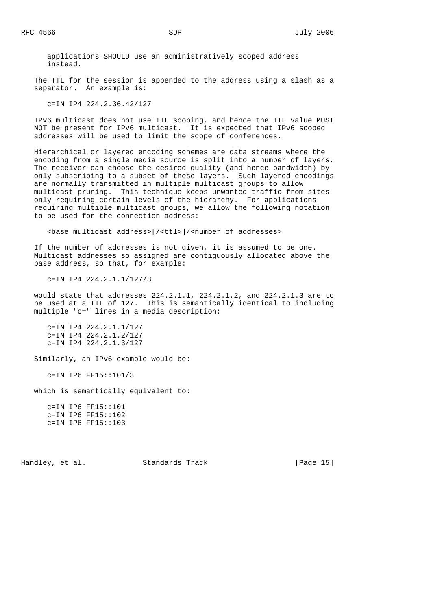applications SHOULD use an administratively scoped address instead.

 The TTL for the session is appended to the address using a slash as a separator. An example is:

c=IN IP4 224.2.36.42/127

 IPv6 multicast does not use TTL scoping, and hence the TTL value MUST NOT be present for IPv6 multicast. It is expected that IPv6 scoped addresses will be used to limit the scope of conferences.

 Hierarchical or layered encoding schemes are data streams where the encoding from a single media source is split into a number of layers. The receiver can choose the desired quality (and hence bandwidth) by only subscribing to a subset of these layers. Such layered encodings are normally transmitted in multiple multicast groups to allow multicast pruning. This technique keeps unwanted traffic from sites only requiring certain levels of the hierarchy. For applications requiring multiple multicast groups, we allow the following notation to be used for the connection address:

<base multicast address>[/<ttl>]/<number of addresses>

 If the number of addresses is not given, it is assumed to be one. Multicast addresses so assigned are contiguously allocated above the base address, so that, for example:

c=IN IP4 224.2.1.1/127/3

 would state that addresses 224.2.1.1, 224.2.1.2, and 224.2.1.3 are to be used at a TTL of 127. This is semantically identical to including multiple "c=" lines in a media description:

 c=IN IP4 224.2.1.1/127 c=IN IP4 224.2.1.2/127 c=IN IP4 224.2.1.3/127

Similarly, an IPv6 example would be:

c=IN IP6 FF15::101/3

which is semantically equivalent to:

 c=IN IP6 FF15::101 c=IN IP6 FF15::102 c=IN IP6 FF15::103

Handley, et al. Standards Track [Page 15]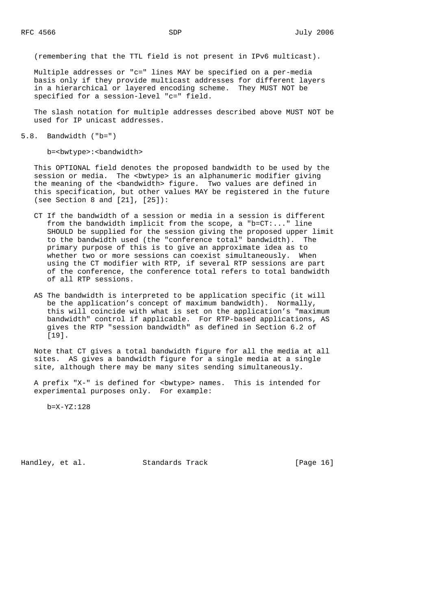(remembering that the TTL field is not present in IPv6 multicast).

 Multiple addresses or "c=" lines MAY be specified on a per-media basis only if they provide multicast addresses for different layers in a hierarchical or layered encoding scheme. They MUST NOT be specified for a session-level "c=" field.

 The slash notation for multiple addresses described above MUST NOT be used for IP unicast addresses.

5.8. Bandwidth ("b=")

b=<bwtype>:<bandwidth>

 This OPTIONAL field denotes the proposed bandwidth to be used by the session or media. The <bwtype> is an alphanumeric modifier giving the meaning of the <bandwidth> figure. Two values are defined in this specification, but other values MAY be registered in the future (see Section 8 and [21], [25]):

- CT If the bandwidth of a session or media in a session is different from the bandwidth implicit from the scope, a "b=CT:..." line SHOULD be supplied for the session giving the proposed upper limit to the bandwidth used (the "conference total" bandwidth). The primary purpose of this is to give an approximate idea as to whether two or more sessions can coexist simultaneously. When using the CT modifier with RTP, if several RTP sessions are part of the conference, the conference total refers to total bandwidth of all RTP sessions.
	- AS The bandwidth is interpreted to be application specific (it will be the application's concept of maximum bandwidth). Normally, this will coincide with what is set on the application's "maximum bandwidth" control if applicable. For RTP-based applications, AS gives the RTP "session bandwidth" as defined in Section 6.2 of [19].

 Note that CT gives a total bandwidth figure for all the media at all sites. AS gives a bandwidth figure for a single media at a single site, although there may be many sites sending simultaneously.

A prefix "X-" is defined for <br/>bwtype> names. This is intended for experimental purposes only. For example:

b=X-YZ:128

Handley, et al. Standards Track [Page 16]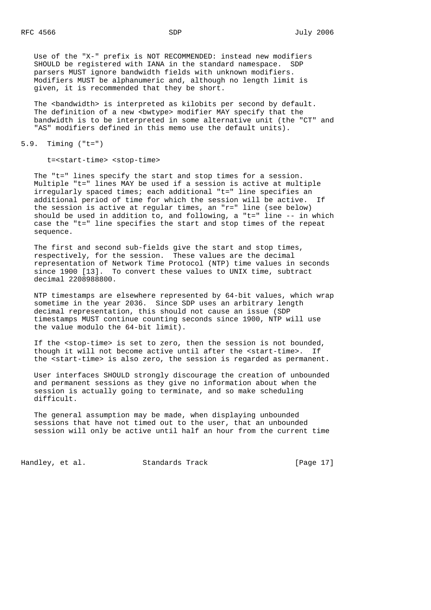Use of the "X-" prefix is NOT RECOMMENDED: instead new modifiers SHOULD be registered with IANA in the standard namespace. SDP parsers MUST ignore bandwidth fields with unknown modifiers. Modifiers MUST be alphanumeric and, although no length limit is given, it is recommended that they be short.

The <br/>bandwidth> is interpreted as kilobits per second by default. The definition of a new <br/> <br/> <br/>wholfier MAY specify that the bandwidth is to be interpreted in some alternative unit (the "CT" and "AS" modifiers defined in this memo use the default units).

5.9. Timing ("t=")

t=<start-time> <stop-time>

The "t=" lines specify the start and stop times for a session. Multiple "t=" lines MAY be used if a session is active at multiple irregularly spaced times; each additional "t=" line specifies an additional period of time for which the session will be active. If the session is active at regular times, an "r=" line (see below) should be used in addition to, and following, a "t=" line -- in which case the "t=" line specifies the start and stop times of the repeat sequence.

 The first and second sub-fields give the start and stop times, respectively, for the session. These values are the decimal representation of Network Time Protocol (NTP) time values in seconds since 1900 [13]. To convert these values to UNIX time, subtract decimal 2208988800.

 NTP timestamps are elsewhere represented by 64-bit values, which wrap sometime in the year 2036. Since SDP uses an arbitrary length decimal representation, this should not cause an issue (SDP timestamps MUST continue counting seconds since 1900, NTP will use the value modulo the 64-bit limit).

 If the <stop-time> is set to zero, then the session is not bounded, though it will not become active until after the <start-time>. If the <start-time> is also zero, the session is regarded as permanent.

 User interfaces SHOULD strongly discourage the creation of unbounded and permanent sessions as they give no information about when the session is actually going to terminate, and so make scheduling difficult.

 The general assumption may be made, when displaying unbounded sessions that have not timed out to the user, that an unbounded session will only be active until half an hour from the current time

Handley, et al. Standards Track [Page 17]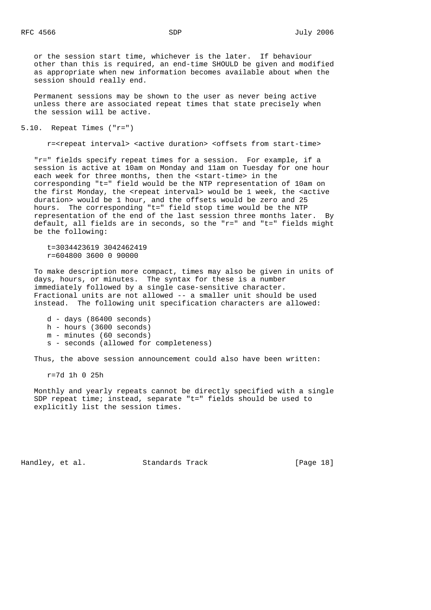or the session start time, whichever is the later. If behaviour other than this is required, an end-time SHOULD be given and modified as appropriate when new information becomes available about when the session should really end.

 Permanent sessions may be shown to the user as never being active unless there are associated repeat times that state precisely when the session will be active.

```
5.10. Repeat Times ("r=")
```
r=<repeat interval> <active duration> <offsets from start-time>

 "r=" fields specify repeat times for a session. For example, if a session is active at 10am on Monday and 11am on Tuesday for one hour each week for three months, then the <start-time> in the corresponding "t=" field would be the NTP representation of 10am on the first Monday, the <repeat interval> would be 1 week, the <active duration> would be 1 hour, and the offsets would be zero and 25 hours. The corresponding "t=" field stop time would be the NTP representation of the end of the last session three months later. By default, all fields are in seconds, so the "r=" and "t=" fields might be the following:

 t=3034423619 3042462419 r=604800 3600 0 90000

 To make description more compact, times may also be given in units of days, hours, or minutes. The syntax for these is a number immediately followed by a single case-sensitive character. Fractional units are not allowed -- a smaller unit should be used instead. The following unit specification characters are allowed:

 $d - days$  (86400 seconds) h - hours (3600 seconds) m - minutes (60 seconds) s - seconds (allowed for completeness)

Thus, the above session announcement could also have been written:

r=7d 1h 0 25h

 Monthly and yearly repeats cannot be directly specified with a single SDP repeat time; instead, separate "t=" fields should be used to explicitly list the session times.

Handley, et al. Standards Track [Page 18]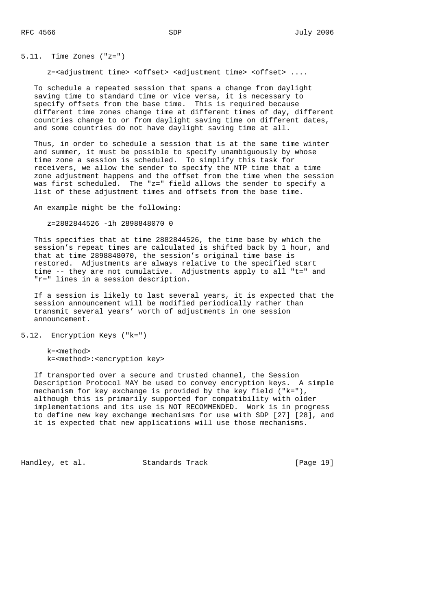#### 5.11. Time Zones ("z=")

z=<adjustment time> <offset> <adjustment time> <offset> ....

 To schedule a repeated session that spans a change from daylight saving time to standard time or vice versa, it is necessary to specify offsets from the base time. This is required because different time zones change time at different times of day, different countries change to or from daylight saving time on different dates, and some countries do not have daylight saving time at all.

 Thus, in order to schedule a session that is at the same time winter and summer, it must be possible to specify unambiguously by whose time zone a session is scheduled. To simplify this task for receivers, we allow the sender to specify the NTP time that a time zone adjustment happens and the offset from the time when the session was first scheduled. The "z=" field allows the sender to specify a list of these adjustment times and offsets from the base time.

An example might be the following:

z=2882844526 -1h 2898848070 0

 This specifies that at time 2882844526, the time base by which the session's repeat times are calculated is shifted back by 1 hour, and that at time 2898848070, the session's original time base is restored. Adjustments are always relative to the specified start time -- they are not cumulative. Adjustments apply to all "t=" and "r=" lines in a session description.

 If a session is likely to last several years, it is expected that the session announcement will be modified periodically rather than transmit several years' worth of adjustments in one session announcement.

5.12. Encryption Keys ("k=")

 k=<method> k=<method>:<encryption key>

 If transported over a secure and trusted channel, the Session Description Protocol MAY be used to convey encryption keys. A simple mechanism for key exchange is provided by the key field ("k="), although this is primarily supported for compatibility with older implementations and its use is NOT RECOMMENDED. Work is in progress to define new key exchange mechanisms for use with SDP [27] [28], and it is expected that new applications will use those mechanisms.

Handley, et al. Standards Track [Page 19]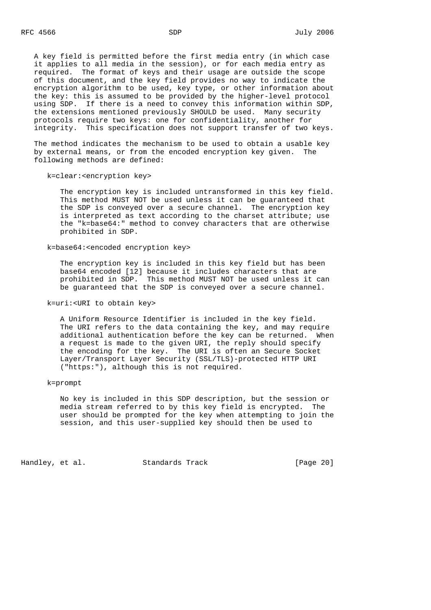A key field is permitted before the first media entry (in which case it applies to all media in the session), or for each media entry as required. The format of keys and their usage are outside the scope of this document, and the key field provides no way to indicate the encryption algorithm to be used, key type, or other information about the key: this is assumed to be provided by the higher-level protocol using SDP. If there is a need to convey this information within SDP, the extensions mentioned previously SHOULD be used. Many security protocols require two keys: one for confidentiality, another for integrity. This specification does not support transfer of two keys.

 The method indicates the mechanism to be used to obtain a usable key by external means, or from the encoded encryption key given. The following methods are defined:

k=clear:<encryption key>

 The encryption key is included untransformed in this key field. This method MUST NOT be used unless it can be guaranteed that the SDP is conveyed over a secure channel. The encryption key is interpreted as text according to the charset attribute; use the "k=base64:" method to convey characters that are otherwise prohibited in SDP.

k=base64:<encoded encryption key>

 The encryption key is included in this key field but has been base64 encoded [12] because it includes characters that are prohibited in SDP. This method MUST NOT be used unless it can be guaranteed that the SDP is conveyed over a secure channel.

k=uri:<URI to obtain key>

 A Uniform Resource Identifier is included in the key field. The URI refers to the data containing the key, and may require additional authentication before the key can be returned. When a request is made to the given URI, the reply should specify the encoding for the key. The URI is often an Secure Socket Layer/Transport Layer Security (SSL/TLS)-protected HTTP URI ("https:"), although this is not required.

#### k=prompt

 No key is included in this SDP description, but the session or media stream referred to by this key field is encrypted. The user should be prompted for the key when attempting to join the session, and this user-supplied key should then be used to

Handley, et al. Standards Track [Page 20]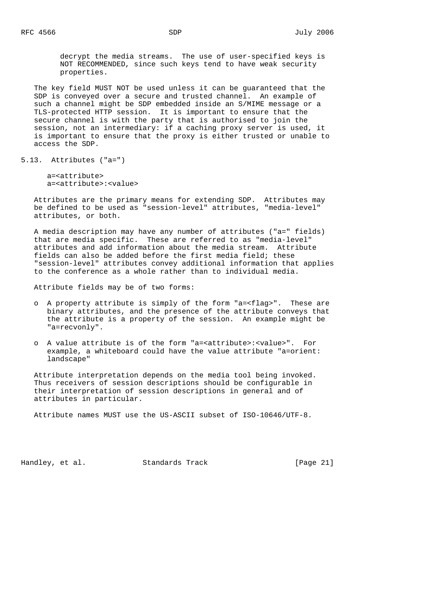decrypt the media streams. The use of user-specified keys is NOT RECOMMENDED, since such keys tend to have weak security properties.

 The key field MUST NOT be used unless it can be guaranteed that the SDP is conveyed over a secure and trusted channel. An example of such a channel might be SDP embedded inside an S/MIME message or a TLS-protected HTTP session. It is important to ensure that the secure channel is with the party that is authorised to join the session, not an intermediary: if a caching proxy server is used, it is important to ensure that the proxy is either trusted or unable to access the SDP.

5.13. Attributes ("a=")

 a=<attribute> a=<attribute>:<value>

 Attributes are the primary means for extending SDP. Attributes may be defined to be used as "session-level" attributes, "media-level" attributes, or both.

 A media description may have any number of attributes ("a=" fields) that are media specific. These are referred to as "media-level" attributes and add information about the media stream. Attribute fields can also be added before the first media field; these "session-level" attributes convey additional information that applies to the conference as a whole rather than to individual media.

Attribute fields may be of two forms:

- o A property attribute is simply of the form "a=<flag>". These are binary attributes, and the presence of the attribute conveys that the attribute is a property of the session. An example might be "a=recvonly".
- o A value attribute is of the form "a=<attribute>:<value>". For example, a whiteboard could have the value attribute "a=orient: landscape"

 Attribute interpretation depends on the media tool being invoked. Thus receivers of session descriptions should be configurable in their interpretation of session descriptions in general and of attributes in particular.

Attribute names MUST use the US-ASCII subset of ISO-10646/UTF-8.

Handley, et al. Standards Track [Page 21]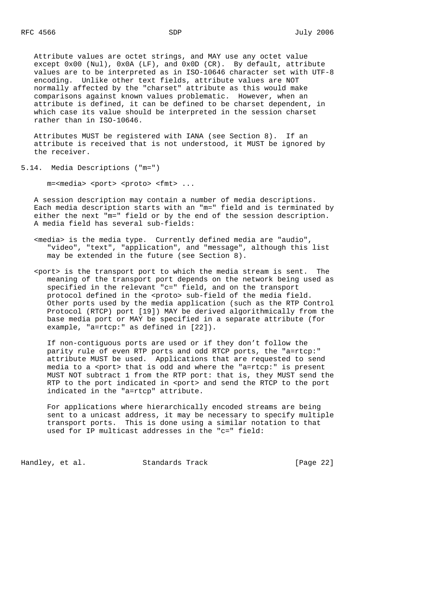Attribute values are octet strings, and MAY use any octet value except 0x00 (Nul), 0x0A (LF), and 0x0D (CR). By default, attribute values are to be interpreted as in ISO-10646 character set with UTF-8 encoding. Unlike other text fields, attribute values are NOT normally affected by the "charset" attribute as this would make comparisons against known values problematic. However, when an attribute is defined, it can be defined to be charset dependent, in which case its value should be interpreted in the session charset rather than in ISO-10646.

 Attributes MUST be registered with IANA (see Section 8). If an attribute is received that is not understood, it MUST be ignored by the receiver.

5.14. Media Descriptions ("m=")

m=<media> <port> <proto> <fmt> ...

 A session description may contain a number of media descriptions. Each media description starts with an "m=" field and is terminated by either the next "m=" field or by the end of the session description. A media field has several sub-fields:

- <media> is the media type. Currently defined media are "audio", "video", "text", "application", and "message", although this list may be extended in the future (see Section 8).
- <port> is the transport port to which the media stream is sent. The meaning of the transport port depends on the network being used as specified in the relevant "c=" field, and on the transport protocol defined in the <proto> sub-field of the media field. Other ports used by the media application (such as the RTP Control Protocol (RTCP) port [19]) MAY be derived algorithmically from the base media port or MAY be specified in a separate attribute (for example, "a=rtcp:" as defined in [22]).

 If non-contiguous ports are used or if they don't follow the parity rule of even RTP ports and odd RTCP ports, the "a=rtcp:" attribute MUST be used. Applications that are requested to send media to a <port> that is odd and where the "a=rtcp:" is present MUST NOT subtract 1 from the RTP port: that is, they MUST send the RTP to the port indicated in <port> and send the RTCP to the port indicated in the "a=rtcp" attribute.

 For applications where hierarchically encoded streams are being sent to a unicast address, it may be necessary to specify multiple transport ports. This is done using a similar notation to that used for IP multicast addresses in the "c=" field:

Handley, et al. Standards Track [Page 22]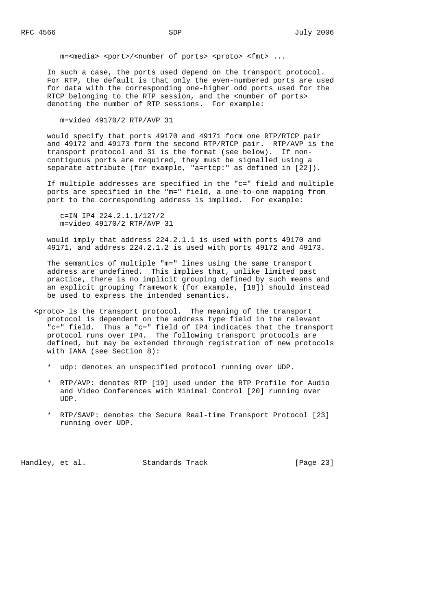m=<media> <port>/<number of ports> <proto> <fmt> ...

 In such a case, the ports used depend on the transport protocol. For RTP, the default is that only the even-numbered ports are used for data with the corresponding one-higher odd ports used for the RTCP belonging to the RTP session, and the <number of ports> denoting the number of RTP sessions. For example:

m=video 49170/2 RTP/AVP 31

 would specify that ports 49170 and 49171 form one RTP/RTCP pair and 49172 and 49173 form the second RTP/RTCP pair. RTP/AVP is the transport protocol and 31 is the format (see below). If non contiguous ports are required, they must be signalled using a separate attribute (for example, "a=rtcp:" as defined in [22]).

 If multiple addresses are specified in the "c=" field and multiple ports are specified in the "m=" field, a one-to-one mapping from port to the corresponding address is implied. For example:

 c=IN IP4 224.2.1.1/127/2 m=video 49170/2 RTP/AVP 31

 would imply that address 224.2.1.1 is used with ports 49170 and 49171, and address 224.2.1.2 is used with ports 49172 and 49173.

 The semantics of multiple "m=" lines using the same transport address are undefined. This implies that, unlike limited past practice, there is no implicit grouping defined by such means and an explicit grouping framework (for example, [18]) should instead be used to express the intended semantics.

- <proto> is the transport protocol. The meaning of the transport protocol is dependent on the address type field in the relevant "c=" field. Thus a "c=" field of IP4 indicates that the transport protocol runs over IP4. The following transport protocols are defined, but may be extended through registration of new protocols with IANA (see Section 8):
	- \* udp: denotes an unspecified protocol running over UDP.
	- \* RTP/AVP: denotes RTP [19] used under the RTP Profile for Audio and Video Conferences with Minimal Control [20] running over UDP.
	- \* RTP/SAVP: denotes the Secure Real-time Transport Protocol [23] running over UDP.

Handley, et al. Standards Track [Page 23]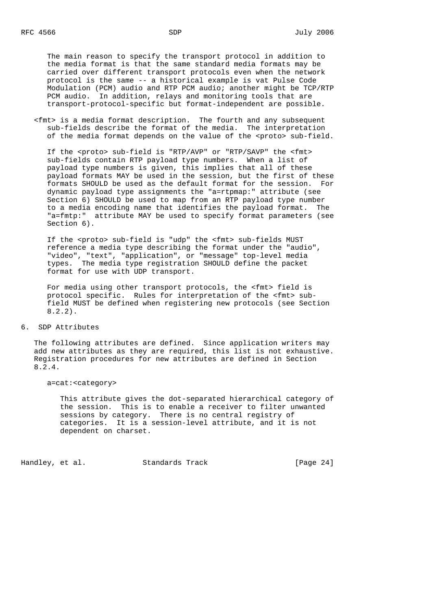The main reason to specify the transport protocol in addition to the media format is that the same standard media formats may be carried over different transport protocols even when the network protocol is the same -- a historical example is vat Pulse Code Modulation (PCM) audio and RTP PCM audio; another might be TCP/RTP PCM audio. In addition, relays and monitoring tools that are transport-protocol-specific but format-independent are possible.

 <fmt> is a media format description. The fourth and any subsequent sub-fields describe the format of the media. The interpretation of the media format depends on the value of the <proto> sub-field.

 If the <proto> sub-field is "RTP/AVP" or "RTP/SAVP" the <fmt> sub-fields contain RTP payload type numbers. When a list of payload type numbers is given, this implies that all of these payload formats MAY be used in the session, but the first of these formats SHOULD be used as the default format for the session. For dynamic payload type assignments the "a=rtpmap:" attribute (see Section 6) SHOULD be used to map from an RTP payload type number to a media encoding name that identifies the payload format. The "a=fmtp:" attribute MAY be used to specify format parameters (see Section 6).

 If the <proto> sub-field is "udp" the <fmt> sub-fields MUST reference a media type describing the format under the "audio", "video", "text", "application", or "message" top-level media types. The media type registration SHOULD define the packet format for use with UDP transport.

 For media using other transport protocols, the <fmt> field is protocol specific. Rules for interpretation of the <fmt> sub field MUST be defined when registering new protocols (see Section 8.2.2).

6. SDP Attributes

 The following attributes are defined. Since application writers may add new attributes as they are required, this list is not exhaustive. Registration procedures for new attributes are defined in Section 8.2.4.

a=cat:<category>

 This attribute gives the dot-separated hierarchical category of the session. This is to enable a receiver to filter unwanted sessions by category. There is no central registry of categories. It is a session-level attribute, and it is not dependent on charset.

Handley, et al. Standards Track [Page 24]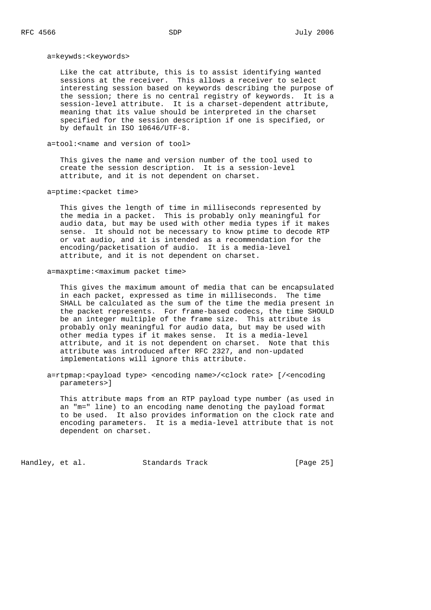a=keywds:<keywords>

 Like the cat attribute, this is to assist identifying wanted sessions at the receiver. This allows a receiver to select interesting session based on keywords describing the purpose of the session; there is no central registry of keywords. It is a session-level attribute. It is a charset-dependent attribute, meaning that its value should be interpreted in the charset specified for the session description if one is specified, or by default in ISO 10646/UTF-8.

a=tool:<name and version of tool>

 This gives the name and version number of the tool used to create the session description. It is a session-level attribute, and it is not dependent on charset.

a=ptime:<packet time>

 This gives the length of time in milliseconds represented by the media in a packet. This is probably only meaningful for audio data, but may be used with other media types if it makes sense. It should not be necessary to know ptime to decode RTP or vat audio, and it is intended as a recommendation for the encoding/packetisation of audio. It is a media-level attribute, and it is not dependent on charset.

a=maxptime:<maximum packet time>

 This gives the maximum amount of media that can be encapsulated in each packet, expressed as time in milliseconds. The time SHALL be calculated as the sum of the time the media present in the packet represents. For frame-based codecs, the time SHOULD be an integer multiple of the frame size. This attribute is probably only meaningful for audio data, but may be used with other media types if it makes sense. It is a media-level attribute, and it is not dependent on charset. Note that this attribute was introduced after RFC 2327, and non-updated implementations will ignore this attribute.

 a=rtpmap:<payload type> <encoding name>/<clock rate> [/<encoding parameters>]

 This attribute maps from an RTP payload type number (as used in an "m=" line) to an encoding name denoting the payload format to be used. It also provides information on the clock rate and encoding parameters. It is a media-level attribute that is not dependent on charset.

Handley, et al. Standards Track [Page 25]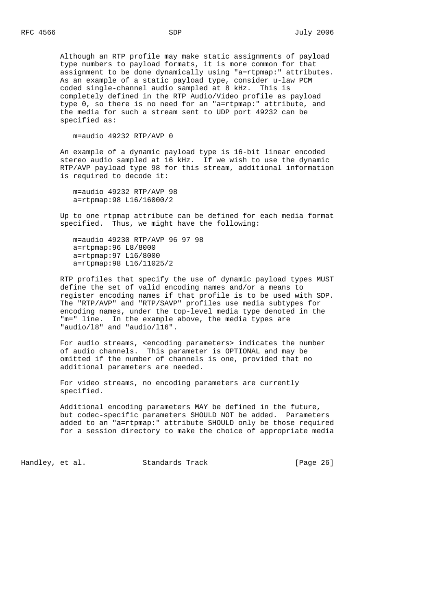Although an RTP profile may make static assignments of payload type numbers to payload formats, it is more common for that assignment to be done dynamically using "a=rtpmap:" attributes. As an example of a static payload type, consider u-law PCM coded single-channel audio sampled at 8 kHz. This is completely defined in the RTP Audio/Video profile as payload type 0, so there is no need for an "a=rtpmap:" attribute, and the media for such a stream sent to UDP port 49232 can be specified as:

m=audio 49232 RTP/AVP 0

 An example of a dynamic payload type is 16-bit linear encoded stereo audio sampled at 16 kHz. If we wish to use the dynamic RTP/AVP payload type 98 for this stream, additional information is required to decode it:

 m=audio 49232 RTP/AVP 98 a=rtpmap:98 L16/16000/2

 Up to one rtpmap attribute can be defined for each media format specified. Thus, we might have the following:

 m=audio 49230 RTP/AVP 96 97 98 a=rtpmap:96 L8/8000 a=rtpmap:97 L16/8000 a=rtpmap:98 L16/11025/2

 RTP profiles that specify the use of dynamic payload types MUST define the set of valid encoding names and/or a means to register encoding names if that profile is to be used with SDP. The "RTP/AVP" and "RTP/SAVP" profiles use media subtypes for encoding names, under the top-level media type denoted in the "m=" line. In the example above, the media types are "audio/l8" and "audio/l16".

 For audio streams, <encoding parameters> indicates the number of audio channels. This parameter is OPTIONAL and may be omitted if the number of channels is one, provided that no additional parameters are needed.

 For video streams, no encoding parameters are currently specified.

 Additional encoding parameters MAY be defined in the future, but codec-specific parameters SHOULD NOT be added. Parameters added to an "a=rtpmap:" attribute SHOULD only be those required for a session directory to make the choice of appropriate media

Handley, et al. Standards Track [Page 26]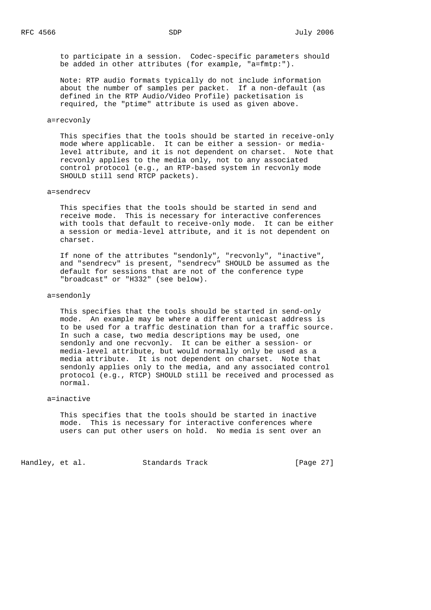to participate in a session. Codec-specific parameters should be added in other attributes (for example, "a=fmtp:").

 Note: RTP audio formats typically do not include information about the number of samples per packet. If a non-default (as defined in the RTP Audio/Video Profile) packetisation is required, the "ptime" attribute is used as given above.

## a=recvonly

 This specifies that the tools should be started in receive-only mode where applicable. It can be either a session- or media level attribute, and it is not dependent on charset. Note that recvonly applies to the media only, not to any associated control protocol (e.g., an RTP-based system in recvonly mode SHOULD still send RTCP packets).

### a=sendrecv

 This specifies that the tools should be started in send and receive mode. This is necessary for interactive conferences with tools that default to receive-only mode. It can be either a session or media-level attribute, and it is not dependent on charset.

 If none of the attributes "sendonly", "recvonly", "inactive", and "sendrecv" is present, "sendrecv" SHOULD be assumed as the default for sessions that are not of the conference type "broadcast" or "H332" (see below).

# a=sendonly

 This specifies that the tools should be started in send-only mode. An example may be where a different unicast address is to be used for a traffic destination than for a traffic source. In such a case, two media descriptions may be used, one sendonly and one recvonly. It can be either a session- or media-level attribute, but would normally only be used as a media attribute. It is not dependent on charset. Note that sendonly applies only to the media, and any associated control protocol (e.g., RTCP) SHOULD still be received and processed as normal.

#### a=inactive

 This specifies that the tools should be started in inactive mode. This is necessary for interactive conferences where users can put other users on hold. No media is sent over an

Handley, et al. Standards Track [Page 27]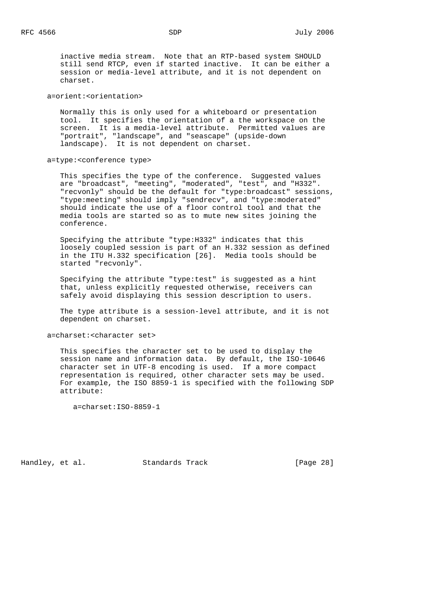inactive media stream. Note that an RTP-based system SHOULD still send RTCP, even if started inactive. It can be either a session or media-level attribute, and it is not dependent on charset.

a=orient:<orientation>

 Normally this is only used for a whiteboard or presentation tool. It specifies the orientation of a the workspace on the screen. It is a media-level attribute. Permitted values are "portrait", "landscape", and "seascape" (upside-down landscape). It is not dependent on charset.

a=type:<conference type>

 This specifies the type of the conference. Suggested values are "broadcast", "meeting", "moderated", "test", and "H332". "recvonly" should be the default for "type:broadcast" sessions, "type:meeting" should imply "sendrecv", and "type:moderated" should indicate the use of a floor control tool and that the media tools are started so as to mute new sites joining the conference.

 Specifying the attribute "type:H332" indicates that this loosely coupled session is part of an H.332 session as defined in the ITU H.332 specification [26]. Media tools should be started "recvonly".

 Specifying the attribute "type:test" is suggested as a hint that, unless explicitly requested otherwise, receivers can safely avoid displaying this session description to users.

 The type attribute is a session-level attribute, and it is not dependent on charset.

a=charset:<character set>

 This specifies the character set to be used to display the session name and information data. By default, the ISO-10646 character set in UTF-8 encoding is used. If a more compact representation is required, other character sets may be used. For example, the ISO 8859-1 is specified with the following SDP attribute:

a=charset:ISO-8859-1

Handley, et al. Standards Track [Page 28]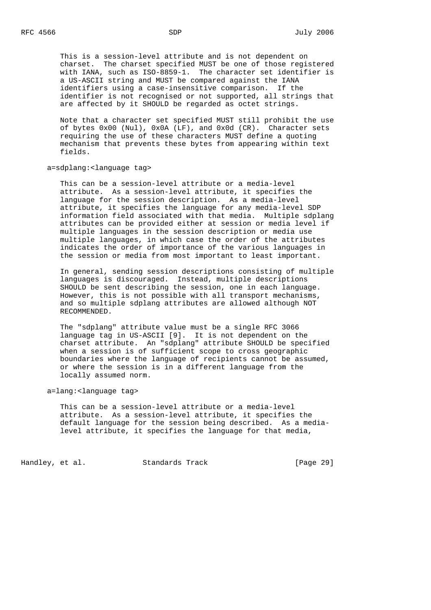This is a session-level attribute and is not dependent on charset. The charset specified MUST be one of those registered with IANA, such as ISO-8859-1. The character set identifier is a US-ASCII string and MUST be compared against the IANA identifiers using a case-insensitive comparison. If the identifier is not recognised or not supported, all strings that are affected by it SHOULD be regarded as octet strings.

 Note that a character set specified MUST still prohibit the use of bytes 0x00 (Nul), 0x0A (LF), and 0x0d (CR). Character sets requiring the use of these characters MUST define a quoting mechanism that prevents these bytes from appearing within text fields.

## a=sdplang:<language tag>

 This can be a session-level attribute or a media-level attribute. As a session-level attribute, it specifies the language for the session description. As a media-level attribute, it specifies the language for any media-level SDP information field associated with that media. Multiple sdplang attributes can be provided either at session or media level if multiple languages in the session description or media use multiple languages, in which case the order of the attributes indicates the order of importance of the various languages in the session or media from most important to least important.

 In general, sending session descriptions consisting of multiple languages is discouraged. Instead, multiple descriptions SHOULD be sent describing the session, one in each language. However, this is not possible with all transport mechanisms, and so multiple sdplang attributes are allowed although NOT RECOMMENDED.

 The "sdplang" attribute value must be a single RFC 3066 language tag in US-ASCII [9]. It is not dependent on the charset attribute. An "sdplang" attribute SHOULD be specified when a session is of sufficient scope to cross geographic boundaries where the language of recipients cannot be assumed, or where the session is in a different language from the locally assumed norm.

## a=lang:<language tag>

 This can be a session-level attribute or a media-level attribute. As a session-level attribute, it specifies the default language for the session being described. As a media level attribute, it specifies the language for that media,

Handley, et al. Standards Track [Page 29]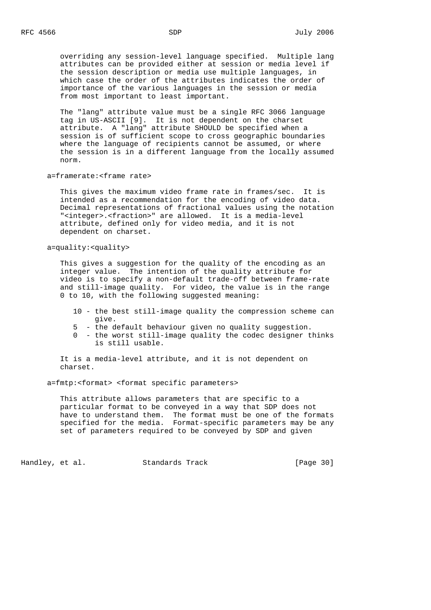overriding any session-level language specified. Multiple lang attributes can be provided either at session or media level if the session description or media use multiple languages, in which case the order of the attributes indicates the order of importance of the various languages in the session or media from most important to least important.

 The "lang" attribute value must be a single RFC 3066 language tag in US-ASCII [9]. It is not dependent on the charset attribute. A "lang" attribute SHOULD be specified when a session is of sufficient scope to cross geographic boundaries where the language of recipients cannot be assumed, or where the session is in a different language from the locally assumed norm.

a=framerate:<frame rate>

 This gives the maximum video frame rate in frames/sec. It is intended as a recommendation for the encoding of video data. Decimal representations of fractional values using the notation "<integer>.<fraction>" are allowed. It is a media-level attribute, defined only for video media, and it is not dependent on charset.

a=quality:<quality>

 This gives a suggestion for the quality of the encoding as an integer value. The intention of the quality attribute for video is to specify a non-default trade-off between frame-rate and still-image quality. For video, the value is in the range 0 to 10, with the following suggested meaning:

- 10 the best still-image quality the compression scheme can give.
- 5 the default behaviour given no quality suggestion.
- 0 the worst still-image quality the codec designer thinks is still usable.

 It is a media-level attribute, and it is not dependent on charset.

a=fmtp:<format> <format specific parameters>

 This attribute allows parameters that are specific to a particular format to be conveyed in a way that SDP does not have to understand them. The format must be one of the formats specified for the media. Format-specific parameters may be any set of parameters required to be conveyed by SDP and given

Handley, et al. Standards Track [Page 30]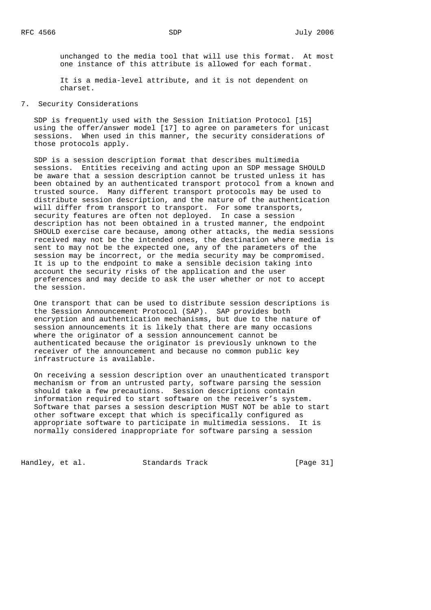unchanged to the media tool that will use this format. At most one instance of this attribute is allowed for each format.

 It is a media-level attribute, and it is not dependent on charset.

7. Security Considerations

 SDP is frequently used with the Session Initiation Protocol [15] using the offer/answer model [17] to agree on parameters for unicast sessions. When used in this manner, the security considerations of those protocols apply.

 SDP is a session description format that describes multimedia sessions. Entities receiving and acting upon an SDP message SHOULD be aware that a session description cannot be trusted unless it has been obtained by an authenticated transport protocol from a known and trusted source. Many different transport protocols may be used to distribute session description, and the nature of the authentication will differ from transport to transport. For some transports, security features are often not deployed. In case a session description has not been obtained in a trusted manner, the endpoint SHOULD exercise care because, among other attacks, the media sessions received may not be the intended ones, the destination where media is sent to may not be the expected one, any of the parameters of the session may be incorrect, or the media security may be compromised. It is up to the endpoint to make a sensible decision taking into account the security risks of the application and the user preferences and may decide to ask the user whether or not to accept the session.

 One transport that can be used to distribute session descriptions is the Session Announcement Protocol (SAP). SAP provides both encryption and authentication mechanisms, but due to the nature of session announcements it is likely that there are many occasions where the originator of a session announcement cannot be authenticated because the originator is previously unknown to the receiver of the announcement and because no common public key infrastructure is available.

 On receiving a session description over an unauthenticated transport mechanism or from an untrusted party, software parsing the session should take a few precautions. Session descriptions contain information required to start software on the receiver's system. Software that parses a session description MUST NOT be able to start other software except that which is specifically configured as appropriate software to participate in multimedia sessions. It is normally considered inappropriate for software parsing a session

Handley, et al. Standards Track [Page 31]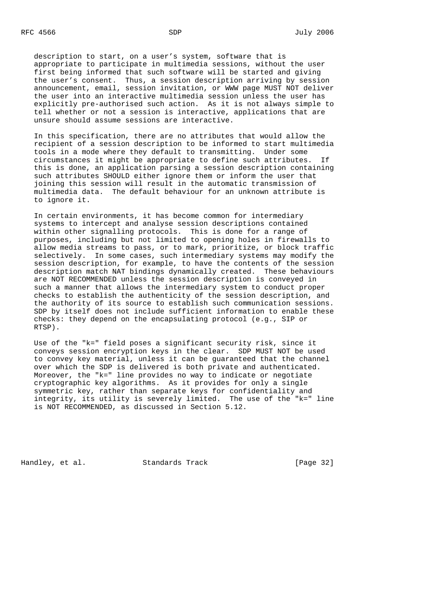description to start, on a user's system, software that is appropriate to participate in multimedia sessions, without the user first being informed that such software will be started and giving the user's consent. Thus, a session description arriving by session announcement, email, session invitation, or WWW page MUST NOT deliver the user into an interactive multimedia session unless the user has explicitly pre-authorised such action. As it is not always simple to tell whether or not a session is interactive, applications that are unsure should assume sessions are interactive.

 In this specification, there are no attributes that would allow the recipient of a session description to be informed to start multimedia tools in a mode where they default to transmitting. Under some circumstances it might be appropriate to define such attributes. If this is done, an application parsing a session description containing such attributes SHOULD either ignore them or inform the user that joining this session will result in the automatic transmission of multimedia data. The default behaviour for an unknown attribute is to ignore it.

 In certain environments, it has become common for intermediary systems to intercept and analyse session descriptions contained within other signalling protocols. This is done for a range of purposes, including but not limited to opening holes in firewalls to allow media streams to pass, or to mark, prioritize, or block traffic selectively. In some cases, such intermediary systems may modify the session description, for example, to have the contents of the session description match NAT bindings dynamically created. These behaviours are NOT RECOMMENDED unless the session description is conveyed in such a manner that allows the intermediary system to conduct proper checks to establish the authenticity of the session description, and the authority of its source to establish such communication sessions. SDP by itself does not include sufficient information to enable these checks: they depend on the encapsulating protocol (e.g., SIP or RTSP).

 Use of the "k=" field poses a significant security risk, since it conveys session encryption keys in the clear. SDP MUST NOT be used to convey key material, unless it can be guaranteed that the channel over which the SDP is delivered is both private and authenticated. Moreover, the "k=" line provides no way to indicate or negotiate cryptographic key algorithms. As it provides for only a single symmetric key, rather than separate keys for confidentiality and integrity, its utility is severely limited. The use of the "k=" line is NOT RECOMMENDED, as discussed in Section 5.12.

Handley, et al. Standards Track [Page 32]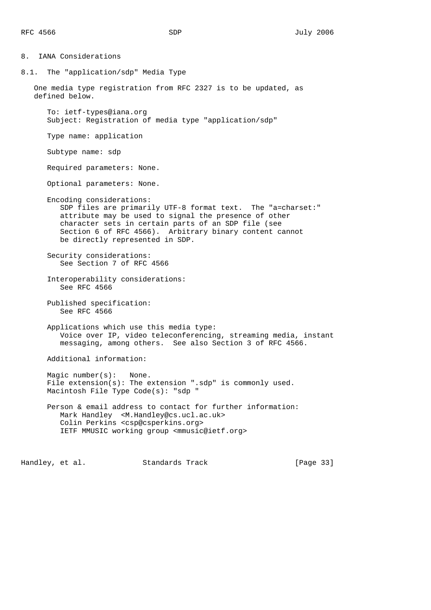8. IANA Considerations

8.1. The "application/sdp" Media Type

 One media type registration from RFC 2327 is to be updated, as defined below.

 To: ietf-types@iana.org Subject: Registration of media type "application/sdp"

Type name: application

Subtype name: sdp

Required parameters: None.

Optional parameters: None.

 Encoding considerations: SDP files are primarily UTF-8 format text. The "a=charset:" attribute may be used to signal the presence of other character sets in certain parts of an SDP file (see Section 6 of RFC 4566). Arbitrary binary content cannot be directly represented in SDP.

 Security considerations: See Section 7 of RFC 4566

 Interoperability considerations: See RFC 4566

 Published specification: See RFC 4566

 Applications which use this media type: Voice over IP, video teleconferencing, streaming media, instant messaging, among others. See also Section 3 of RFC 4566.

Additional information:

 Magic number(s): None. File extension(s): The extension ".sdp" is commonly used. Macintosh File Type Code(s): "sdp "

 Person & email address to contact for further information: Mark Handley <M.Handley@cs.ucl.ac.uk> Colin Perkins <csp@csperkins.org> IETF MMUSIC working group <mmusic@ietf.org>

Handley, et al. Standards Track [Page 33]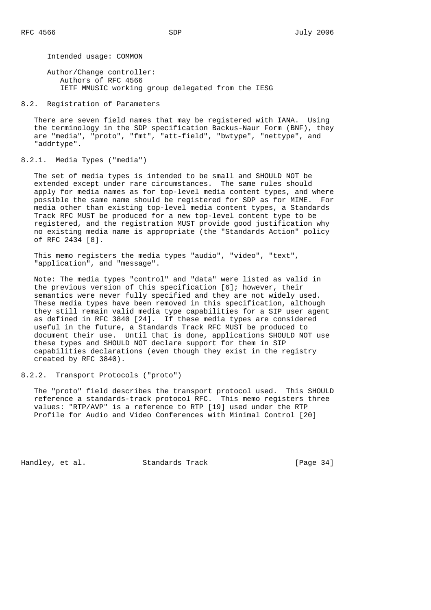Intended usage: COMMON

 Author/Change controller: Authors of RFC 4566 IETF MMUSIC working group delegated from the IESG

8.2. Registration of Parameters

 There are seven field names that may be registered with IANA. Using the terminology in the SDP specification Backus-Naur Form (BNF), they are "media", "proto", "fmt", "att-field", "bwtype", "nettype", and "addrtype".

#### 8.2.1. Media Types ("media")

 The set of media types is intended to be small and SHOULD NOT be extended except under rare circumstances. The same rules should apply for media names as for top-level media content types, and where possible the same name should be registered for SDP as for MIME. For media other than existing top-level media content types, a Standards Track RFC MUST be produced for a new top-level content type to be registered, and the registration MUST provide good justification why no existing media name is appropriate (the "Standards Action" policy of RFC 2434 [8].

 This memo registers the media types "audio", "video", "text", "application", and "message".

 Note: The media types "control" and "data" were listed as valid in the previous version of this specification [6]; however, their semantics were never fully specified and they are not widely used. These media types have been removed in this specification, although they still remain valid media type capabilities for a SIP user agent as defined in RFC 3840 [24]. If these media types are considered useful in the future, a Standards Track RFC MUST be produced to document their use. Until that is done, applications SHOULD NOT use these types and SHOULD NOT declare support for them in SIP capabilities declarations (even though they exist in the registry created by RFC 3840).

8.2.2. Transport Protocols ("proto")

 The "proto" field describes the transport protocol used. This SHOULD reference a standards-track protocol RFC. This memo registers three values: "RTP/AVP" is a reference to RTP [19] used under the RTP Profile for Audio and Video Conferences with Minimal Control [20]

Handley, et al. Standards Track [Page 34]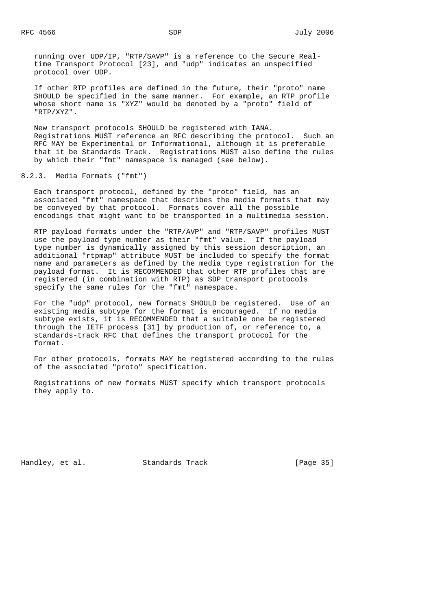running over UDP/IP, "RTP/SAVP" is a reference to the Secure Real time Transport Protocol [23], and "udp" indicates an unspecified protocol over UDP.

 If other RTP profiles are defined in the future, their "proto" name SHOULD be specified in the same manner. For example, an RTP profile whose short name is "XYZ" would be denoted by a "proto" field of "RTP/XYZ".

 New transport protocols SHOULD be registered with IANA. Registrations MUST reference an RFC describing the protocol. Such an RFC MAY be Experimental or Informational, although it is preferable that it be Standards Track. Registrations MUST also define the rules by which their "fmt" namespace is managed (see below).

8.2.3. Media Formats ("fmt")

 Each transport protocol, defined by the "proto" field, has an associated "fmt" namespace that describes the media formats that may be conveyed by that protocol. Formats cover all the possible encodings that might want to be transported in a multimedia session.

 RTP payload formats under the "RTP/AVP" and "RTP/SAVP" profiles MUST use the payload type number as their "fmt" value. If the payload type number is dynamically assigned by this session description, an additional "rtpmap" attribute MUST be included to specify the format name and parameters as defined by the media type registration for the payload format. It is RECOMMENDED that other RTP profiles that are registered (in combination with RTP) as SDP transport protocols specify the same rules for the "fmt" namespace.

 For the "udp" protocol, new formats SHOULD be registered. Use of an existing media subtype for the format is encouraged. If no media subtype exists, it is RECOMMENDED that a suitable one be registered through the IETF process [31] by production of, or reference to, a standards-track RFC that defines the transport protocol for the format.

 For other protocols, formats MAY be registered according to the rules of the associated "proto" specification.

 Registrations of new formats MUST specify which transport protocols they apply to.

Handley, et al. Standards Track [Page 35]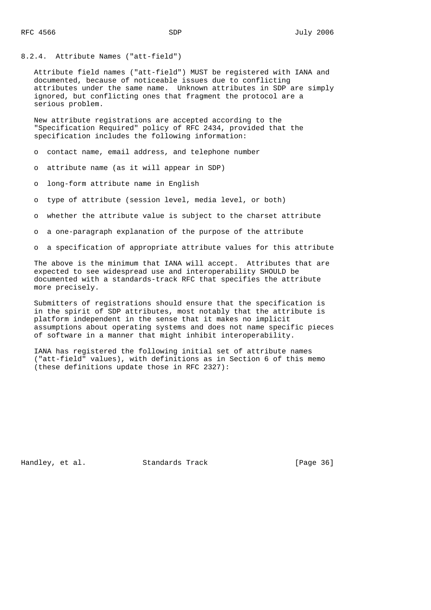8.2.4. Attribute Names ("att-field")

 Attribute field names ("att-field") MUST be registered with IANA and documented, because of noticeable issues due to conflicting attributes under the same name. Unknown attributes in SDP are simply ignored, but conflicting ones that fragment the protocol are a serious problem.

 New attribute registrations are accepted according to the "Specification Required" policy of RFC 2434, provided that the specification includes the following information:

o contact name, email address, and telephone number

o attribute name (as it will appear in SDP)

o long-form attribute name in English

o type of attribute (session level, media level, or both)

o whether the attribute value is subject to the charset attribute

o a one-paragraph explanation of the purpose of the attribute

o a specification of appropriate attribute values for this attribute

 The above is the minimum that IANA will accept. Attributes that are expected to see widespread use and interoperability SHOULD be documented with a standards-track RFC that specifies the attribute more precisely.

 Submitters of registrations should ensure that the specification is in the spirit of SDP attributes, most notably that the attribute is platform independent in the sense that it makes no implicit assumptions about operating systems and does not name specific pieces of software in a manner that might inhibit interoperability.

 IANA has registered the following initial set of attribute names ("att-field" values), with definitions as in Section 6 of this memo (these definitions update those in RFC 2327):

Handley, et al. Standards Track [Page 36]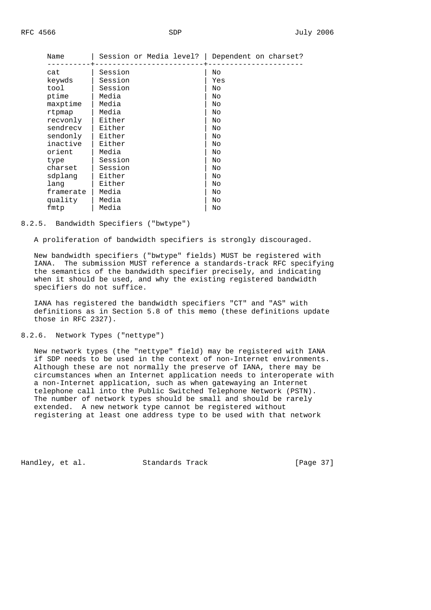| Name      | Session or Media level? | Dependent on charset? |
|-----------|-------------------------|-----------------------|
| cat       | Session                 | No                    |
| keywds    | Session                 | Yes                   |
| tool      | Session                 | No                    |
| ptime     | Media                   | No                    |
| maxptime  | Media                   | No                    |
| rtpmap    | Media                   | No                    |
| recvonly  | Either                  | No                    |
| sendrecv  | Either                  | No                    |
| sendonly  | Either                  | No                    |
| inactive  | Either                  | No                    |
| orient    | Media                   | No                    |
| type      | Session                 | No                    |
| charset   | Session                 | No                    |
| sdplang   | Either                  | No                    |
| lang      | Either                  | No                    |
| framerate | Media                   | No                    |
| quality   | Media                   | No                    |
| fmtp      | Media                   | No                    |
|           |                         |                       |

#### 8.2.5. Bandwidth Specifiers ("bwtype")

A proliferation of bandwidth specifiers is strongly discouraged.

 New bandwidth specifiers ("bwtype" fields) MUST be registered with IANA. The submission MUST reference a standards-track RFC specifying the semantics of the bandwidth specifier precisely, and indicating when it should be used, and why the existing registered bandwidth specifiers do not suffice.

 IANA has registered the bandwidth specifiers "CT" and "AS" with definitions as in Section 5.8 of this memo (these definitions update those in RFC 2327).

## 8.2.6. Network Types ("nettype")

 New network types (the "nettype" field) may be registered with IANA if SDP needs to be used in the context of non-Internet environments. Although these are not normally the preserve of IANA, there may be circumstances when an Internet application needs to interoperate with a non-Internet application, such as when gatewaying an Internet telephone call into the Public Switched Telephone Network (PSTN). The number of network types should be small and should be rarely extended. A new network type cannot be registered without registering at least one address type to be used with that network

Handley, et al. Standards Track [Page 37]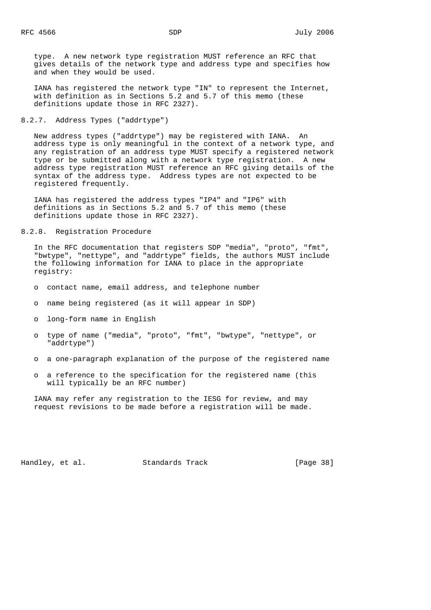type. A new network type registration MUST reference an RFC that gives details of the network type and address type and specifies how and when they would be used.

 IANA has registered the network type "IN" to represent the Internet, with definition as in Sections 5.2 and 5.7 of this memo (these definitions update those in RFC 2327).

8.2.7. Address Types ("addrtype")

 New address types ("addrtype") may be registered with IANA. An address type is only meaningful in the context of a network type, and any registration of an address type MUST specify a registered network type or be submitted along with a network type registration. A new address type registration MUST reference an RFC giving details of the syntax of the address type. Address types are not expected to be registered frequently.

 IANA has registered the address types "IP4" and "IP6" with definitions as in Sections 5.2 and 5.7 of this memo (these definitions update those in RFC 2327).

# 8.2.8. Registration Procedure

 In the RFC documentation that registers SDP "media", "proto", "fmt", "bwtype", "nettype", and "addrtype" fields, the authors MUST include the following information for IANA to place in the appropriate registry:

- o contact name, email address, and telephone number
- o name being registered (as it will appear in SDP)
- o long-form name in English
- o type of name ("media", "proto", "fmt", "bwtype", "nettype", or "addrtype")
- o a one-paragraph explanation of the purpose of the registered name
- o a reference to the specification for the registered name (this will typically be an RFC number)

 IANA may refer any registration to the IESG for review, and may request revisions to be made before a registration will be made.

Handley, et al. Standards Track [Page 38]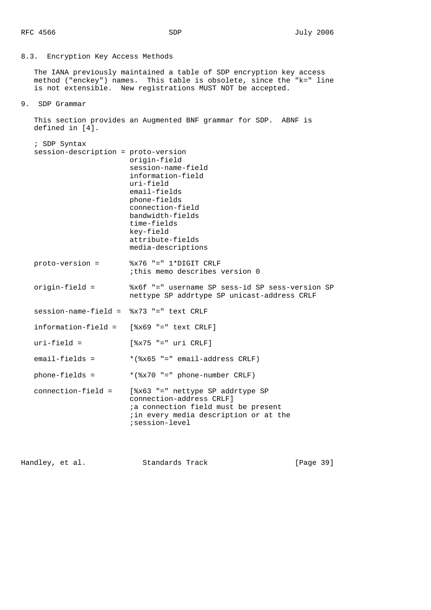# 8.3. Encryption Key Access Methods

 The IANA previously maintained a table of SDP encryption key access method ("enckey") names. This table is obsolete, since the "k=" line is not extensible. New registrations MUST NOT be accepted.

9. SDP Grammar

 This section provides an Augmented BNF grammar for SDP. ABNF is defined in [4].

| ; SDP Syntax                            |                                                                                                                                                                                                                    |
|-----------------------------------------|--------------------------------------------------------------------------------------------------------------------------------------------------------------------------------------------------------------------|
| session-description = proto-version     | origin-field<br>session-name-field<br>information-field<br>uri-field<br>email-fields<br>phone-fields<br>connection-field<br>bandwidth-fields<br>time-fields<br>key-field<br>attribute-fields<br>media-descriptions |
| proto-version =                         | $x76$ "=" $1*Diff$ CRLF<br>ithis memo describes version 0                                                                                                                                                          |
| origin-field =                          | %x6f "=" username SP sess-id SP sess-version SP<br>nettype SP addrtype SP unicast-address CRLF                                                                                                                     |
| session-name-field = %x73 "=" text CRLF |                                                                                                                                                                                                                    |
| $information-field =$                   | $[$ % x69 "=" text CRLF]                                                                                                                                                                                           |
| $uri-field =$                           | $[sx75" == "uri CRLF]$                                                                                                                                                                                             |
| $email-filelds =$                       | $*(\&x65 \text{ "}=" email-address CRIF))$                                                                                                                                                                         |
| $phone$ -fields =                       | $*(\text{$*$x70} " = " phone-number CRLF)$                                                                                                                                                                         |
| $connection-field =$                    | [%x63 "=" nettype SP addrtype SP<br>connection-address CRLF]<br><i>ia</i> connection field must be present<br>iin every media description or at the<br>;session-level                                              |

Handley, et al. Standards Track [Page 39]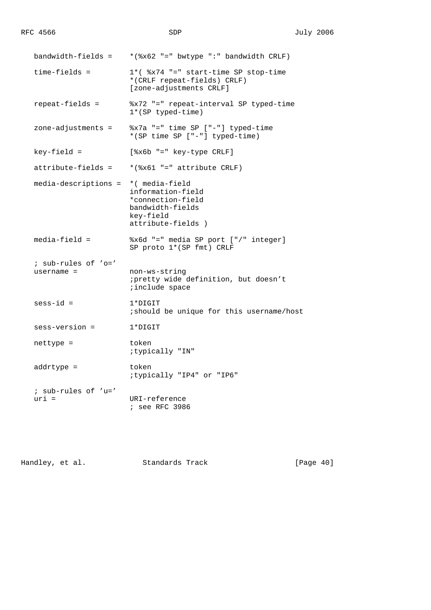| bandwidth-fields =                  | $*(\text{$*$x62} "=" buyer "')\text{for } "::" \text{bandwidth } \text{CRLF})$                                 |
|-------------------------------------|----------------------------------------------------------------------------------------------------------------|
| $time-fields =$                     | $1*($ %x74 "=" start-time SP stop-time<br>*(CRLF repeat-fields) CRLF)<br>[zone-adjustments CRLF]               |
| repeat-fields =                     | %x72 "=" repeat-interval SP typed-time<br>$1*(SP type d-time)$                                                 |
| $zone-adjustments =$                | %x7a "=" time SP ["-"] typed-time<br>*(SP time SP ["-"] typed-time)                                            |
| $key$ -field =                      | $[$ %x6b "=" key-type CRLF]                                                                                    |
| attribute-fields =                  | $*(\$x61$ "=" attribute CRLF)                                                                                  |
| media-descriptions =                | *( media-field<br>information-field<br>*connection-field<br>bandwidth-fields<br>key-field<br>attribute-fields) |
| $media-field =$                     | %x6d "=" media SP port ["/" integer]<br>SP proto 1*(SP fmt) CRLF                                               |
| ; sub-rules of 'o='<br>$username =$ | non-ws-string<br>; pretty wide definition, but doesn't<br><i>i</i> include space                               |
| $sess-id =$                         | 1*DIGIT<br>ishould be unique for this username/host                                                            |
| sess-version =                      | 1*DIGIT                                                                                                        |
| $network =$                         | token<br>;typically "IN"                                                                                       |
| addrtype =                          | token<br>;typically "IP4" or "IP6"                                                                             |
| ; sub-rules of 'u='<br>$uri =$      | URI-reference<br>$i$ see RFC 3986                                                                              |

Handley, et al. Standards Track [Page 40]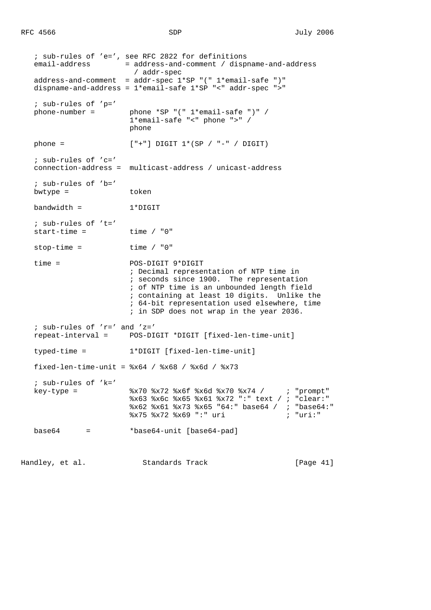```
 ; sub-rules of 'e=', see RFC 2822 for definitions
 email-address = address-and-comment / dispname-and-address
                      / addr-spec
address-and-comment = addr-spec 1*SP " (" 1*email-safe " )" dispname-and-address = 1*email-safe 1*SP "<" addr-spec ">"
 ; sub-rules of 'p='
 phone-number = phone *SP "(" 1*email-safe ")" /
                     1*email-safe "<" phone ">" /
                     phone
phone = ["+"] DIGIT 1*(SP / "--" / DIGIT) ; sub-rules of 'c='
 connection-address = multicast-address / unicast-address
 ; sub-rules of 'b='
bwtype = token
 bandwidth = 1*DIGIT
 ; sub-rules of 't='
start-time = time / "0"
stop-time = time / "0"
 time = POS-DIGIT 9*DIGIT
                     ; Decimal representation of NTP time in
                     ; seconds since 1900. The representation
                     ; of NTP time is an unbounded length field
                     ; containing at least 10 digits. Unlike the
                     ; 64-bit representation used elsewhere, time
                     ; in SDP does not wrap in the year 2036.
 ; sub-rules of 'r=' and 'z='
 repeat-interval = POS-DIGIT *DIGIT [fixed-len-time-unit]
 typed-time = 1*DIGIT [fixed-len-time-unit]
fixed-len-time-unit = 8x64 / 8x68 / 8x6d / 8x73 ; sub-rules of 'k='
                    %x70 %x72 %x6f %x6d %x70 %x74 / ; "prompt"
                     %x63 %x6c %x65 %x61 %x72 ":" text / ; "clear:"
                     %x62 %x61 %x73 %x65 "64:" base64 / ; "base64:"
                    %x75 %x72 %x69 ":" uri
base64 = *base64-unit [base64-pad]
```
Handley, et al. Standards Track [Page 41]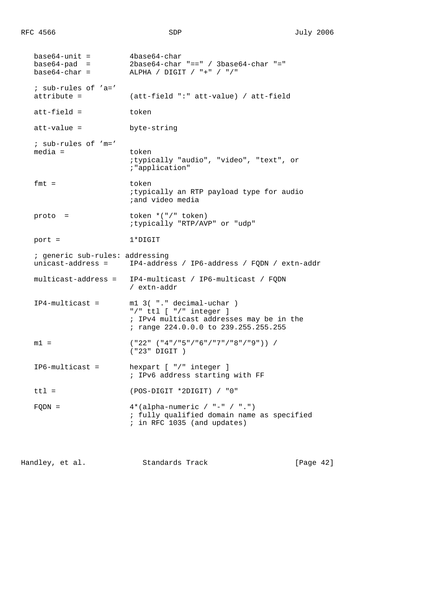base64-unit = 4base64-char<br>base64-pad = 2base64-char  $base64-pad = 2base64-char$   $==" / 3base64-char$   $=="$ <br> $base64-char = 1$ <br> $ALPHA / DIGIT / " +" / " /"$ ALPHA / DIGIT / "+" / "/" ; sub-rules of 'a=' attribute = (att-field ":" att-value) / att-field att-field = token att-value = byte-string ; sub-rules of 'm=' media = token ;typically "audio", "video", "text", or ;"application" fmt = token ;typically an RTP payload type for audio ;and video media  $\text{proto}$  = token  $*(\sqrt{''}/\sqrt{''})$  token) ;typically "RTP/AVP" or "udp" port = 1\*DIGIT ; generic sub-rules: addressing unicast-address = IP4-address / IP6-address / FQDN / extn-addr multicast-address = IP4-multicast / IP6-multicast / FQDN / extn-addr IP4-multicast = m1 3( "." decimal-uchar ) "/" ttl [ "/" integer ] ; IPv4 multicast addresses may be in the ; range 224.0.0.0 to 239.255.255.255 m1 =  $(^{\circ}22^{\circ}$   $(^{\circ}4^{\circ}/^{\circ}5^{\circ}/^{\circ}6^{\circ}/^{\circ}7^{\circ}/^{\circ}8^{\circ}/^{\circ}9^{\circ})$  ) / ("23" DIGIT ) IP6-multicast = hexpart [ "/" integer ] ; IPv6 address starting with FF ttl = (POS-DIGIT \*2DIGIT) / "0"  $FQDN = 4*(alpha-numberic / "-" / "."')$  ; fully qualified domain name as specified ; in RFC 1035 (and updates)

Handley, et al. Standards Track [Page 42]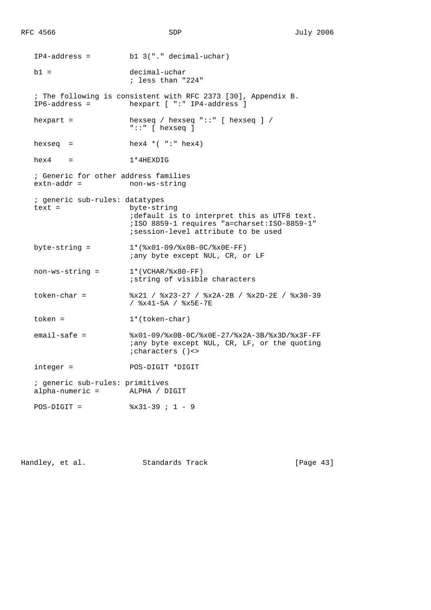IP4-address = b1 3("." decimal-uchar) b1 = decimal-uchar ; less than "224" ; The following is consistent with RFC 2373 [30], Appendix B. IP6-address = hexpart [ ":" IP4-address ] hexpart = hexseq / hexseq "::" [ hexseq ] / "::" [ hexseq ] hexseq =  $hex4 * ( ":: " hex4)$  $hex4 = 1*4HEXDIG$ % Generic for other address families<br>extn-addr = non-ws-string  $extn-addr =$  ; generic sub-rules: datatypes text = byte-string ;default is to interpret this as UTF8 text. ;ISO 8859-1 requires "a=charset:ISO-8859-1" ;session-level attribute to be used byte-string =  $1*(8x01-09/8x0B-0C/8x0E-FF)$  ;any byte except NUL, CR, or LF  $non-ws-string = 1*(VCHAR/\&x80-FF)$  ;string of visible characters token-char = %x21 / %x23-27 / %x2A-2B / %x2D-2E / %x30-39 / %x41-5A / %x5E-7E  $token = 1*(token-char)$  email-safe = %x01-09/%x0B-0C/%x0E-27/%x2A-3B/%x3D/%x3F-FF ;any byte except NUL, CR, LF, or the quoting ;characters ()<> integer = POS-DIGIT \*DIGIT ; generic sub-rules: primitives alpha-numeric = ALPHA / DIGIT POS-DIGIT = %x31-39 ; 1 - 9

Handley, et al. Standards Track [Page 43]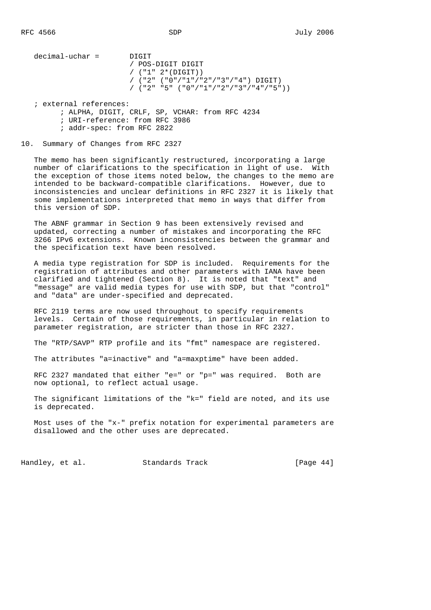| $decimal - uchar =$             | DIGIT                                 |
|---------------------------------|---------------------------------------|
|                                 | / POS-DIGIT DIGIT                     |
|                                 | / $('1' 2*(DIGIT))$                   |
|                                 | / ("2" ("0"/"1"/"2"/"3"/"4") DIGIT)   |
|                                 | / ("2" "5" ("0"/"1"/"2"/"3"/"4"/"5")) |
|                                 |                                       |
| ; external references:          |                                       |
| $\cdot$ at pular parater charge | CD VCUAD: from DEC 1924               |

 ; ALPHA, DIGIT, CRLF, SP, VCHAR: from RFC 4234 ; URI-reference: from RFC 3986

- 
- ; addr-spec: from RFC 2822

```
10. Summary of Changes from RFC 2327
```
 The memo has been significantly restructured, incorporating a large number of clarifications to the specification in light of use. With the exception of those items noted below, the changes to the memo are intended to be backward-compatible clarifications. However, due to inconsistencies and unclear definitions in RFC 2327 it is likely that some implementations interpreted that memo in ways that differ from this version of SDP.

 The ABNF grammar in Section 9 has been extensively revised and updated, correcting a number of mistakes and incorporating the RFC 3266 IPv6 extensions. Known inconsistencies between the grammar and the specification text have been resolved.

 A media type registration for SDP is included. Requirements for the registration of attributes and other parameters with IANA have been clarified and tightened (Section 8). It is noted that "text" and "message" are valid media types for use with SDP, but that "control" and "data" are under-specified and deprecated.

 RFC 2119 terms are now used throughout to specify requirements levels. Certain of those requirements, in particular in relation to parameter registration, are stricter than those in RFC 2327.

The "RTP/SAVP" RTP profile and its "fmt" namespace are registered.

The attributes "a=inactive" and "a=maxptime" have been added.

 RFC 2327 mandated that either "e=" or "p=" was required. Both are now optional, to reflect actual usage.

 The significant limitations of the "k=" field are noted, and its use is deprecated.

 Most uses of the "x-" prefix notation for experimental parameters are disallowed and the other uses are deprecated.

Handley, et al. Standards Track [Page 44]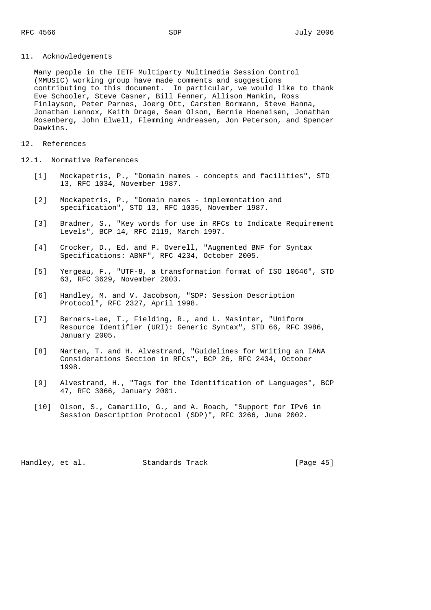# 11. Acknowledgements

 Many people in the IETF Multiparty Multimedia Session Control (MMUSIC) working group have made comments and suggestions contributing to this document. In particular, we would like to thank Eve Schooler, Steve Casner, Bill Fenner, Allison Mankin, Ross Finlayson, Peter Parnes, Joerg Ott, Carsten Bormann, Steve Hanna, Jonathan Lennox, Keith Drage, Sean Olson, Bernie Hoeneisen, Jonathan Rosenberg, John Elwell, Flemming Andreasen, Jon Peterson, and Spencer Dawkins.

#### 12. References

- 12.1. Normative References
	- [1] Mockapetris, P., "Domain names concepts and facilities", STD 13, RFC 1034, November 1987.
	- [2] Mockapetris, P., "Domain names implementation and specification", STD 13, RFC 1035, November 1987.
	- [3] Bradner, S., "Key words for use in RFCs to Indicate Requirement Levels", BCP 14, RFC 2119, March 1997.
	- [4] Crocker, D., Ed. and P. Overell, "Augmented BNF for Syntax Specifications: ABNF", RFC 4234, October 2005.
	- [5] Yergeau, F., "UTF-8, a transformation format of ISO 10646", STD 63, RFC 3629, November 2003.
	- [6] Handley, M. and V. Jacobson, "SDP: Session Description Protocol", RFC 2327, April 1998.
	- [7] Berners-Lee, T., Fielding, R., and L. Masinter, "Uniform Resource Identifier (URI): Generic Syntax", STD 66, RFC 3986, January 2005.
	- [8] Narten, T. and H. Alvestrand, "Guidelines for Writing an IANA Considerations Section in RFCs", BCP 26, RFC 2434, October 1998.
	- [9] Alvestrand, H., "Tags for the Identification of Languages", BCP 47, RFC 3066, January 2001.
	- [10] Olson, S., Camarillo, G., and A. Roach, "Support for IPv6 in Session Description Protocol (SDP)", RFC 3266, June 2002.

Handley, et al. Standards Track [Page 45]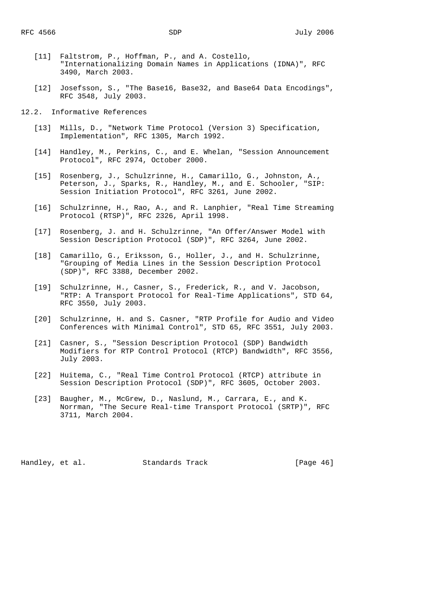- [11] Faltstrom, P., Hoffman, P., and A. Costello, "Internationalizing Domain Names in Applications (IDNA)", RFC 3490, March 2003.
- [12] Josefsson, S., "The Base16, Base32, and Base64 Data Encodings", RFC 3548, July 2003.
- 12.2. Informative References
	- [13] Mills, D., "Network Time Protocol (Version 3) Specification, Implementation", RFC 1305, March 1992.
	- [14] Handley, M., Perkins, C., and E. Whelan, "Session Announcement Protocol", RFC 2974, October 2000.
	- [15] Rosenberg, J., Schulzrinne, H., Camarillo, G., Johnston, A., Peterson, J., Sparks, R., Handley, M., and E. Schooler, "SIP: Session Initiation Protocol", RFC 3261, June 2002.
	- [16] Schulzrinne, H., Rao, A., and R. Lanphier, "Real Time Streaming Protocol (RTSP)", RFC 2326, April 1998.
	- [17] Rosenberg, J. and H. Schulzrinne, "An Offer/Answer Model with Session Description Protocol (SDP)", RFC 3264, June 2002.
	- [18] Camarillo, G., Eriksson, G., Holler, J., and H. Schulzrinne, "Grouping of Media Lines in the Session Description Protocol (SDP)", RFC 3388, December 2002.
	- [19] Schulzrinne, H., Casner, S., Frederick, R., and V. Jacobson, "RTP: A Transport Protocol for Real-Time Applications", STD 64, RFC 3550, July 2003.
	- [20] Schulzrinne, H. and S. Casner, "RTP Profile for Audio and Video Conferences with Minimal Control", STD 65, RFC 3551, July 2003.
	- [21] Casner, S., "Session Description Protocol (SDP) Bandwidth Modifiers for RTP Control Protocol (RTCP) Bandwidth", RFC 3556, July 2003.
	- [22] Huitema, C., "Real Time Control Protocol (RTCP) attribute in Session Description Protocol (SDP)", RFC 3605, October 2003.
	- [23] Baugher, M., McGrew, D., Naslund, M., Carrara, E., and K. Norrman, "The Secure Real-time Transport Protocol (SRTP)", RFC 3711, March 2004.

Handley, et al. Standards Track [Page 46]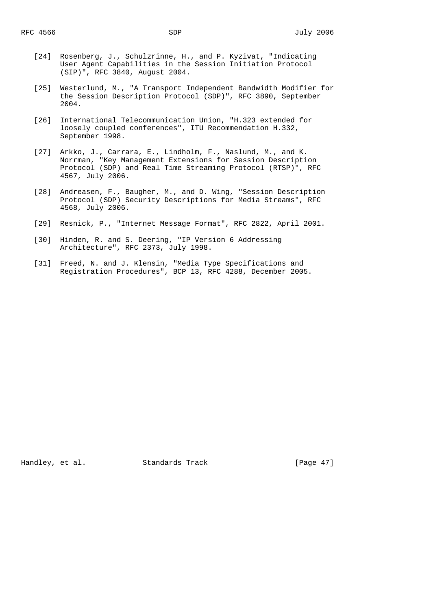- [24] Rosenberg, J., Schulzrinne, H., and P. Kyzivat, "Indicating User Agent Capabilities in the Session Initiation Protocol (SIP)", RFC 3840, August 2004.
- [25] Westerlund, M., "A Transport Independent Bandwidth Modifier for the Session Description Protocol (SDP)", RFC 3890, September 2004.
- [26] International Telecommunication Union, "H.323 extended for loosely coupled conferences", ITU Recommendation H.332, September 1998.
- [27] Arkko, J., Carrara, E., Lindholm, F., Naslund, M., and K. Norrman, "Key Management Extensions for Session Description Protocol (SDP) and Real Time Streaming Protocol (RTSP)", RFC 4567, July 2006.
- [28] Andreasen, F., Baugher, M., and D. Wing, "Session Description Protocol (SDP) Security Descriptions for Media Streams", RFC 4568, July 2006.
- [29] Resnick, P., "Internet Message Format", RFC 2822, April 2001.
- [30] Hinden, R. and S. Deering, "IP Version 6 Addressing Architecture", RFC 2373, July 1998.
- [31] Freed, N. and J. Klensin, "Media Type Specifications and Registration Procedures", BCP 13, RFC 4288, December 2005.

Handley, et al. Standards Track [Page 47]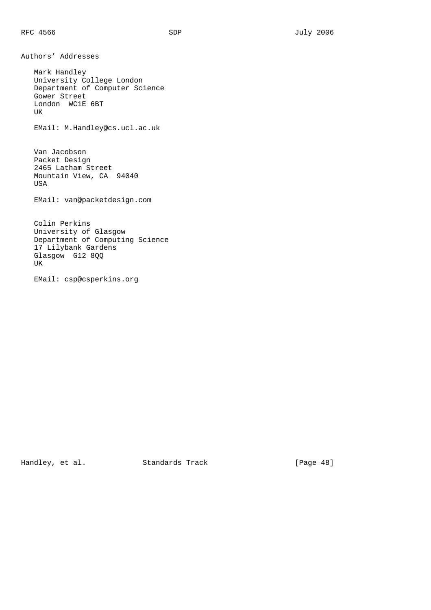Authors' Addresses Mark Handley University College London Department of Computer Science Gower Street London WC1E 6BT UK EMail: M.Handley@cs.ucl.ac.uk Van Jacobson Packet Design 2465 Latham Street Mountain View, CA 94040 USA EMail: van@packetdesign.com Colin Perkins University of Glasgow Department of Computing Science 17 Lilybank Gardens Glasgow G12 8QQ UK EMail: csp@csperkins.org

Handley, et al. Standards Track [Page 48]